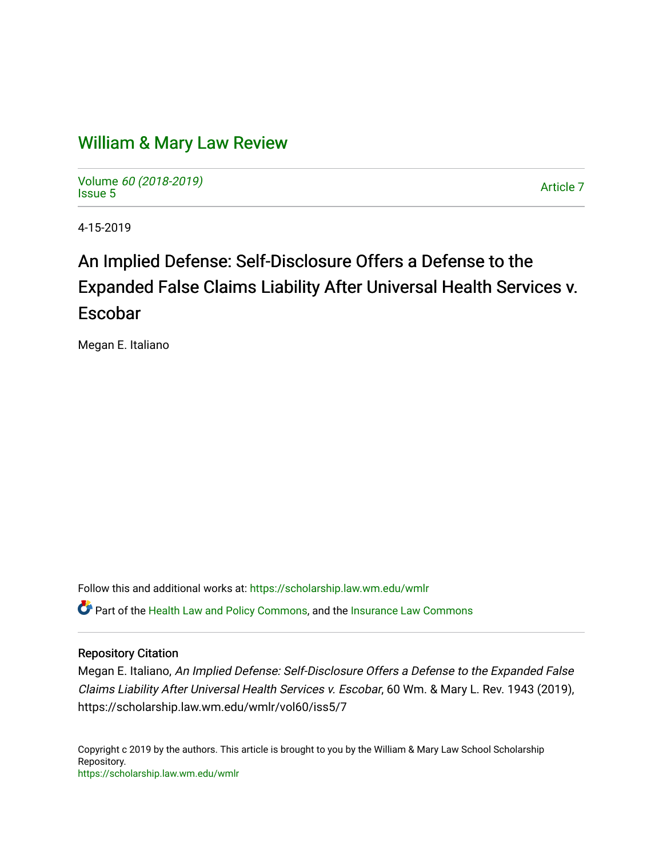# [William & Mary Law Review](https://scholarship.law.wm.edu/wmlr)

Volume [60 \(2018-2019\)](https://scholarship.law.wm.edu/wmlr/vol60)  volume *oo* (2010-2019)<br>[Issue 5](https://scholarship.law.wm.edu/wmlr/vol60/iss5)

4-15-2019

# An Implied Defense: Self-Disclosure Offers a Defense to the Expanded False Claims Liability After Universal Health Services v. Escobar

Megan E. Italiano

Follow this and additional works at: [https://scholarship.law.wm.edu/wmlr](https://scholarship.law.wm.edu/wmlr?utm_source=scholarship.law.wm.edu%2Fwmlr%2Fvol60%2Fiss5%2F7&utm_medium=PDF&utm_campaign=PDFCoverPages)

Part of the [Health Law and Policy Commons](http://network.bepress.com/hgg/discipline/901?utm_source=scholarship.law.wm.edu%2Fwmlr%2Fvol60%2Fiss5%2F7&utm_medium=PDF&utm_campaign=PDFCoverPages), and the [Insurance Law Commons](http://network.bepress.com/hgg/discipline/607?utm_source=scholarship.law.wm.edu%2Fwmlr%2Fvol60%2Fiss5%2F7&utm_medium=PDF&utm_campaign=PDFCoverPages) 

# Repository Citation

Megan E. Italiano, An Implied Defense: Self-Disclosure Offers a Defense to the Expanded False Claims Liability After Universal Health Services v. Escobar, 60 Wm. & Mary L. Rev. 1943 (2019), https://scholarship.law.wm.edu/wmlr/vol60/iss5/7

Copyright c 2019 by the authors. This article is brought to you by the William & Mary Law School Scholarship Repository. <https://scholarship.law.wm.edu/wmlr>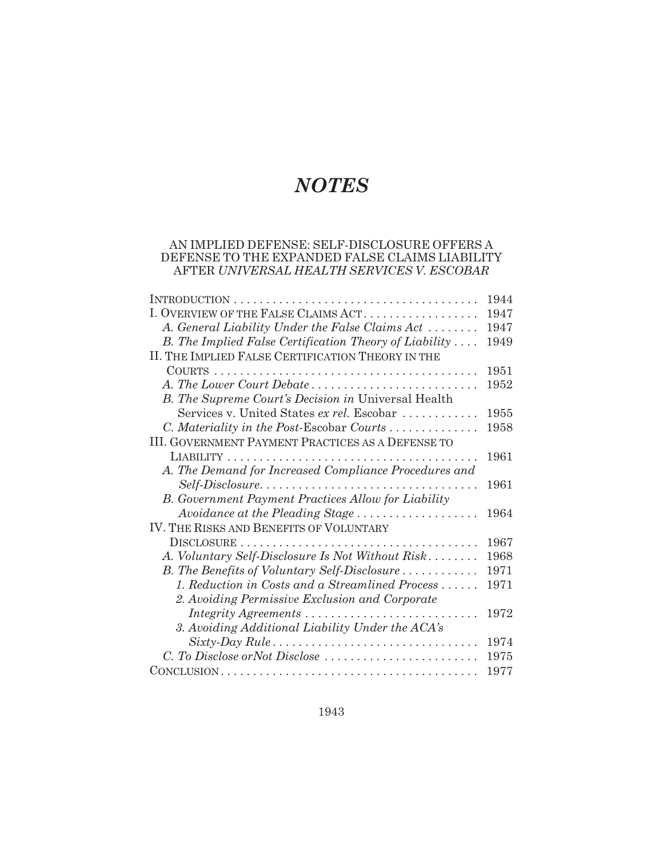# *NOTES*

## AN IMPLIED DEFENSE: SELF-DISCLOSURE OFFERS A DEFENSE TO THE EXPANDED FALSE CLAIMS LIABILITY AFTER *UNIVERSAL HEALTH SERVICES V. ESCOBAR*

|                                                            | 1944 |
|------------------------------------------------------------|------|
| I. OVERVIEW OF THE FALSE CLAIMS ACT                        | 1947 |
| A. General Liability Under the False Claims Act            | 1947 |
| B. The Implied False Certification Theory of Liability     | 1949 |
| II. THE IMPLIED FALSE CERTIFICATION THEORY IN THE          |      |
|                                                            | 1951 |
| A. The Lower Court Debate                                  | 1952 |
| B. The Supreme Court's Decision in Universal Health        |      |
| Services v. United States ex rel. Escobar                  | 1955 |
| C. Materiality in the Post-Escobar Courts                  | 1958 |
| <b>III. GOVERNMENT PAYMENT PRACTICES AS A DEFENSE TO</b>   |      |
|                                                            | 1961 |
| A. The Demand for Increased Compliance Procedures and      |      |
| Self-Disclosure                                            | 1961 |
| <b>B.</b> Government Payment Practices Allow for Liability |      |
| Avoidance at the Pleading Stage                            | 1964 |
| IV. THE RISKS AND BENEFITS OF VOLUNTARY                    |      |
|                                                            | 1967 |
| A. Voluntary Self-Disclosure Is Not Without Risk           | 1968 |
| B. The Benefits of Voluntary Self-Disclosure               | 1971 |
| 1. Reduction in Costs and a Streamlined Process            | 1971 |
| 2. Avoiding Permissive Exclusion and Corporate             |      |
| Integrity Agreements                                       | 1972 |
| 3. Avoiding Additional Liability Under the ACA's           |      |
|                                                            | 1974 |
| C. To Disclose or Not Disclose                             | 1975 |
|                                                            | 1977 |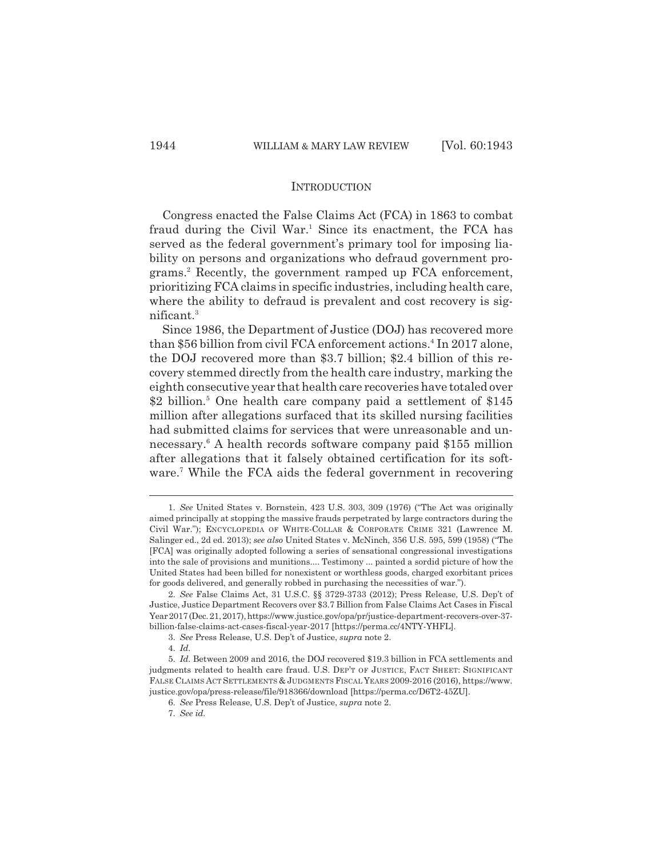#### **INTRODUCTION**

Congress enacted the False Claims Act (FCA) in 1863 to combat fraud during the Civil War.<sup>1</sup> Since its enactment, the FCA has served as the federal government's primary tool for imposing liability on persons and organizations who defraud government programs.2 Recently, the government ramped up FCA enforcement, prioritizing FCA claims in specific industries, including health care, where the ability to defraud is prevalent and cost recovery is significant.3

Since 1986, the Department of Justice (DOJ) has recovered more than \$56 billion from civil FCA enforcement actions.<sup>4</sup> In 2017 alone, the DOJ recovered more than \$3.7 billion; \$2.4 billion of this recovery stemmed directly from the health care industry, marking the eighth consecutive year that health care recoveries have totaled over \$2 billion.<sup>5</sup> One health care company paid a settlement of \$145 million after allegations surfaced that its skilled nursing facilities had submitted claims for services that were unreasonable and unnecessary.<sup>6</sup> A health records software company paid \$155 million after allegations that it falsely obtained certification for its software.<sup>7</sup> While the FCA aids the federal government in recovering

4. *Id.*

<sup>1.</sup> *See* United States v. Bornstein, 423 U.S. 303, 309 (1976) ("The Act was originally aimed principally at stopping the massive frauds perpetrated by large contractors during the Civil War."); ENCYCLOPEDIA OF WHITE-COLLAR & CORPORATE CRIME 321 (Lawrence M. Salinger ed., 2d ed. 2013); *see also* United States v. McNinch, 356 U.S. 595, 599 (1958) ("The [FCA] was originally adopted following a series of sensational congressional investigations into the sale of provisions and munitions.... Testimony ... painted a sordid picture of how the United States had been billed for nonexistent or worthless goods, charged exorbitant prices for goods delivered, and generally robbed in purchasing the necessities of war.").

<sup>2.</sup> *See* False Claims Act, 31 U.S.C. §§ 3729-3733 (2012); Press Release, U.S. Dep't of Justice, Justice Department Recovers over \$3.7 Billion from False Claims Act Cases in Fiscal Year 2017 (Dec. 21, 2017), https://www.justice.gov/opa/pr/justice-department-recovers-over-37 billion-false-claims-act-cases-fiscal-year-2017 [https://perma.cc/4NTY-YHFL].

<sup>3.</sup> *See* Press Release, U.S. Dep't of Justice, *supra* note 2.

<sup>5.</sup> *Id.* Between 2009 and 2016, the DOJ recovered \$19.3 billion in FCA settlements and judgments related to health care fraud. U.S. DEP'T OF JUSTICE, FACT SHEET: SIGNIFICANT FALSE CLAIMS ACT SETTLEMENTS & JUDGMENTS FISCAL YEARS 2009-2016 (2016), https://www. justice.gov/opa/press-release/file/918366/download [https://perma.cc/D6T2-45ZU].

<sup>6.</sup> *See* Press Release, U.S. Dep't of Justice, *supra* note 2.

<sup>7.</sup> *See id.*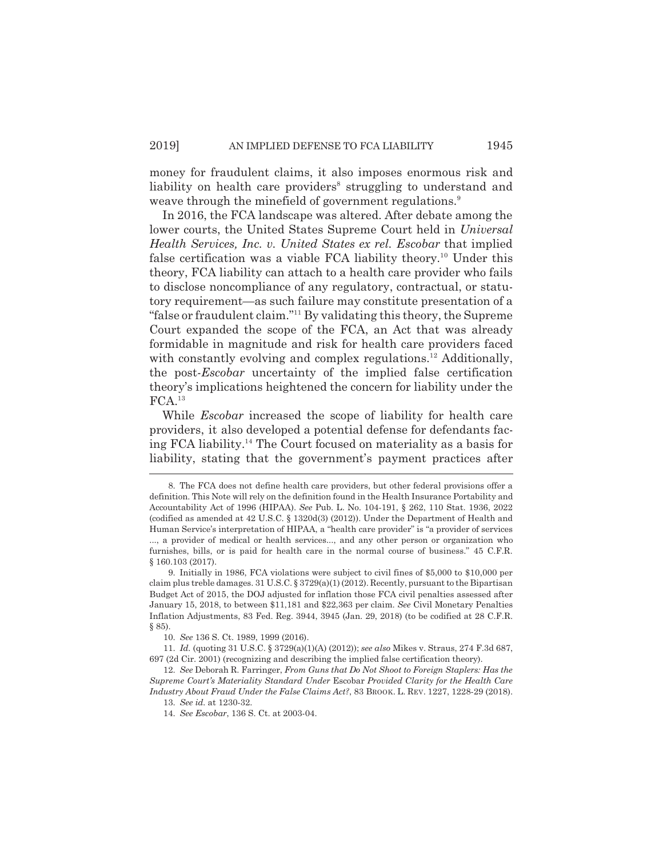money for fraudulent claims, it also imposes enormous risk and liability on health care providers<sup>8</sup> struggling to understand and weave through the minefield of government regulations.<sup>9</sup>

In 2016, the FCA landscape was altered. After debate among the lower courts, the United States Supreme Court held in *Universal Health Services, Inc. v. United States ex rel. Escobar* that implied false certification was a viable FCA liability theory.10 Under this theory, FCA liability can attach to a health care provider who fails to disclose noncompliance of any regulatory, contractual, or statutory requirement—as such failure may constitute presentation of a "false or fraudulent claim."11 By validating this theory, the Supreme Court expanded the scope of the FCA, an Act that was already formidable in magnitude and risk for health care providers faced with constantly evolving and complex regulations.<sup>12</sup> Additionally, the post-*Escobar* uncertainty of the implied false certification theory's implications heightened the concern for liability under the  $FCA.<sup>13</sup>$ 

While *Escobar* increased the scope of liability for health care providers, it also developed a potential defense for defendants facing FCA liability.14 The Court focused on materiality as a basis for liability, stating that the government's payment practices after

<sup>8.</sup> The FCA does not define health care providers, but other federal provisions offer a definition. This Note will rely on the definition found in the Health Insurance Portability and Accountability Act of 1996 (HIPAA). *See* Pub. L. No. 104-191, § 262, 110 Stat. 1936, 2022 (codified as amended at 42 U.S.C. § 1320d(3) (2012)). Under the Department of Health and Human Service's interpretation of HIPAA, a "health care provider" is "a provider of services ..., a provider of medical or health services..., and any other person or organization who furnishes, bills, or is paid for health care in the normal course of business." 45 C.F.R. § 160.103 (2017).

<sup>9.</sup> Initially in 1986, FCA violations were subject to civil fines of \$5,000 to \$10,000 per claim plus treble damages. 31 U.S.C. § 3729(a)(1) (2012). Recently, pursuant to the Bipartisan Budget Act of 2015, the DOJ adjusted for inflation those FCA civil penalties assessed after January 15, 2018, to between \$11,181 and \$22,363 per claim. *See* Civil Monetary Penalties Inflation Adjustments, 83 Fed. Reg. 3944, 3945 (Jan. 29, 2018) (to be codified at 28 C.F.R. § 85).

<sup>10.</sup> *See* 136 S. Ct. 1989, 1999 (2016).

<sup>11.</sup> *Id.* (quoting 31 U.S.C. § 3729(a)(1)(A) (2012)); *see also* Mikes v. Straus, 274 F.3d 687, 697 (2d Cir. 2001) (recognizing and describing the implied false certification theory).

<sup>12.</sup> *See* Deborah R. Farringer, *From Guns that Do Not Shoot to Foreign Staplers: Has the Supreme Court's Materiality Standard Under* Escobar *Provided Clarity for the Health Care Industry About Fraud Under the False Claims Act?*, 83 BROOK. L. REV. 1227, 1228-29 (2018).

<sup>13.</sup> *See id.* at 1230-32.

<sup>14.</sup> *See Escobar*, 136 S. Ct. at 2003-04.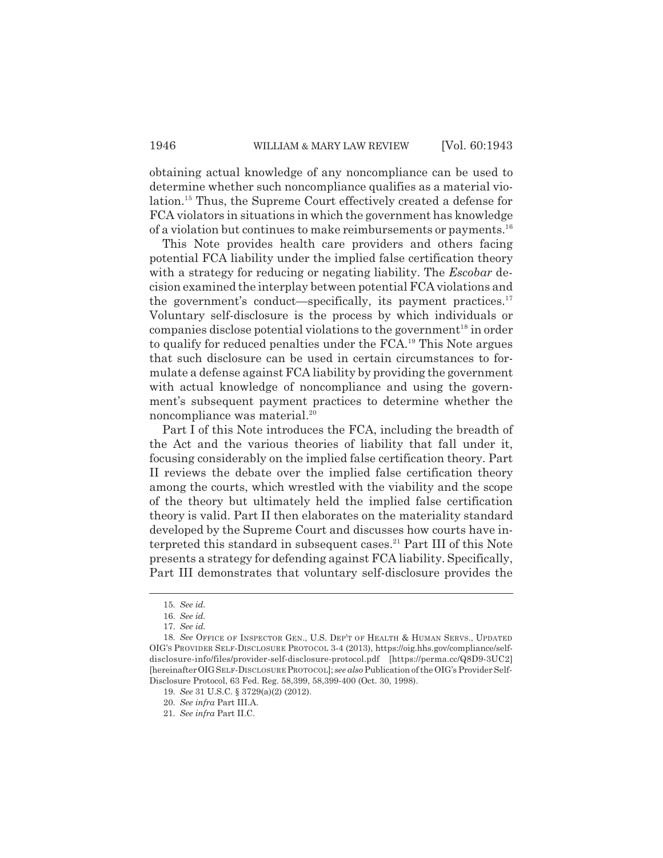obtaining actual knowledge of any noncompliance can be used to determine whether such noncompliance qualifies as a material violation.15 Thus, the Supreme Court effectively created a defense for FCA violators in situations in which the government has knowledge of a violation but continues to make reimbursements or payments.<sup>16</sup>

This Note provides health care providers and others facing potential FCA liability under the implied false certification theory with a strategy for reducing or negating liability. The *Escobar* decision examined the interplay between potential FCA violations and the government's conduct—specifically, its payment practices.<sup>17</sup> Voluntary self-disclosure is the process by which individuals or companies disclose potential violations to the government<sup>18</sup> in order to qualify for reduced penalties under the FCA.19 This Note argues that such disclosure can be used in certain circumstances to formulate a defense against FCA liability by providing the government with actual knowledge of noncompliance and using the government's subsequent payment practices to determine whether the noncompliance was material.20

Part I of this Note introduces the FCA, including the breadth of the Act and the various theories of liability that fall under it, focusing considerably on the implied false certification theory. Part II reviews the debate over the implied false certification theory among the courts, which wrestled with the viability and the scope of the theory but ultimately held the implied false certification theory is valid. Part II then elaborates on the materiality standard developed by the Supreme Court and discusses how courts have interpreted this standard in subsequent cases.<sup>21</sup> Part III of this Note presents a strategy for defending against FCA liability. Specifically, Part III demonstrates that voluntary self-disclosure provides the

<sup>15.</sup> *See id.* 

<sup>16.</sup> *See id.*

<sup>17.</sup> *See id.* 

<sup>18.</sup> *See* OFFICE OF INSPECTOR GEN., U.S. DEP'T OF HEALTH & HUMAN SERVS., UPDATED OIG'S PROVIDER SELF-DISCLOSURE PROTOCOL 3-4 (2013), https://oig.hhs.gov/compliance/selfdisclosure-info/files/provider-self-disclosure-protocol.pdf [https://perma.cc/Q8D9-3UC2] [hereinafterOIGSELF-DISCLOSURE PROTOCOL]; *see also* Publication of the OIG's Provider Self-Disclosure Protocol, 63 Fed. Reg. 58,399, 58,399-400 (Oct. 30, 1998).

<sup>19.</sup> *See* 31 U.S.C. § 3729(a)(2) (2012).

<sup>20.</sup> *See infra* Part III.A.

<sup>21.</sup> *See infra* Part II.C.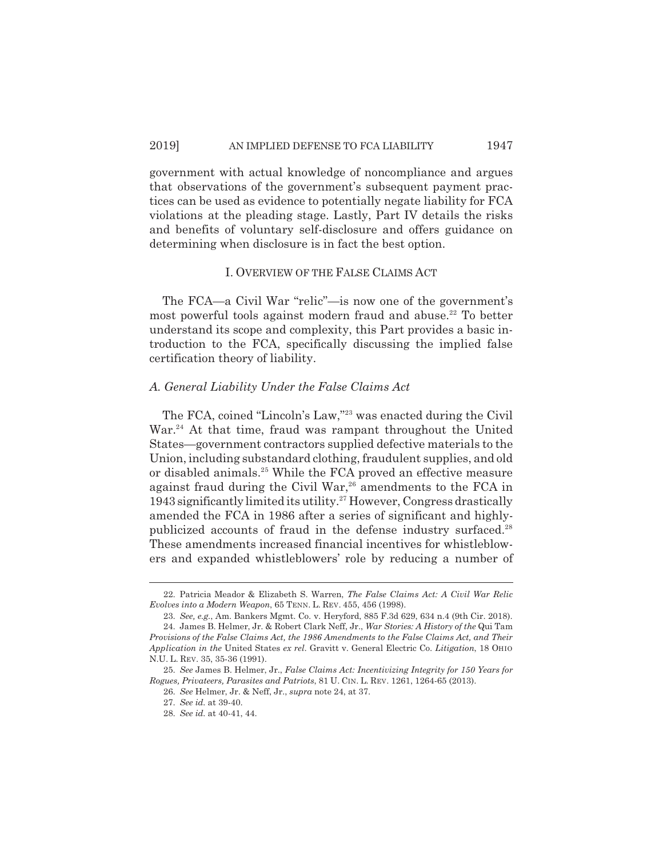government with actual knowledge of noncompliance and argues that observations of the government's subsequent payment practices can be used as evidence to potentially negate liability for FCA violations at the pleading stage. Lastly, Part IV details the risks and benefits of voluntary self-disclosure and offers guidance on determining when disclosure is in fact the best option.

#### I. OVERVIEW OF THE FALSE CLAIMS ACT

The FCA—a Civil War "relic"—is now one of the government's most powerful tools against modern fraud and abuse.<sup>22</sup> To better understand its scope and complexity, this Part provides a basic introduction to the FCA, specifically discussing the implied false certification theory of liability.

#### *A. General Liability Under the False Claims Act*

The FCA, coined "Lincoln's Law,"23 was enacted during the Civil War.<sup>24</sup> At that time, fraud was rampant throughout the United States—government contractors supplied defective materials to the Union, including substandard clothing, fraudulent supplies, and old or disabled animals.25 While the FCA proved an effective measure against fraud during the Civil War,<sup>26</sup> amendments to the FCA in  $1943$  significantly limited its utility.<sup>27</sup> However, Congress drastically amended the FCA in 1986 after a series of significant and highlypublicized accounts of fraud in the defense industry surfaced.<sup>28</sup> These amendments increased financial incentives for whistleblowers and expanded whistleblowers' role by reducing a number of

<sup>22.</sup> Patricia Meador & Elizabeth S. Warren, *The False Claims Act: A Civil War Relic Evolves into a Modern Weapon*, 65 TENN. L. REV. 455, 456 (1998).

<sup>23.</sup> *See, e.g.*, Am. Bankers Mgmt. Co. v. Heryford, 885 F.3d 629, 634 n.4 (9th Cir. 2018). 24. James B. Helmer, Jr. & Robert Clark Neff, Jr., *War Stories: A History of the* Qui Tam *Provisions of the False Claims Act, the 1986 Amendments to the False Claims Act, and Their Application in the* United States *ex rel*. Gravitt v. General Electric Co. *Litigation*, 18 OHIO N.U. L. REV. 35, 35-36 (1991).

<sup>25.</sup> *See* James B. Helmer, Jr., *False Claims Act: Incentivizing Integrity for 150 Years for Rogues, Privateers, Parasites and Patriots*, 81 U. CIN. L. REV. 1261, 1264-65 (2013).

<sup>26.</sup> *See* Helmer, Jr. & Neff, Jr., *supra* note 24, at 37.

<sup>27.</sup> *See id.* at 39-40.

<sup>28.</sup> *See id.* at 40-41, 44.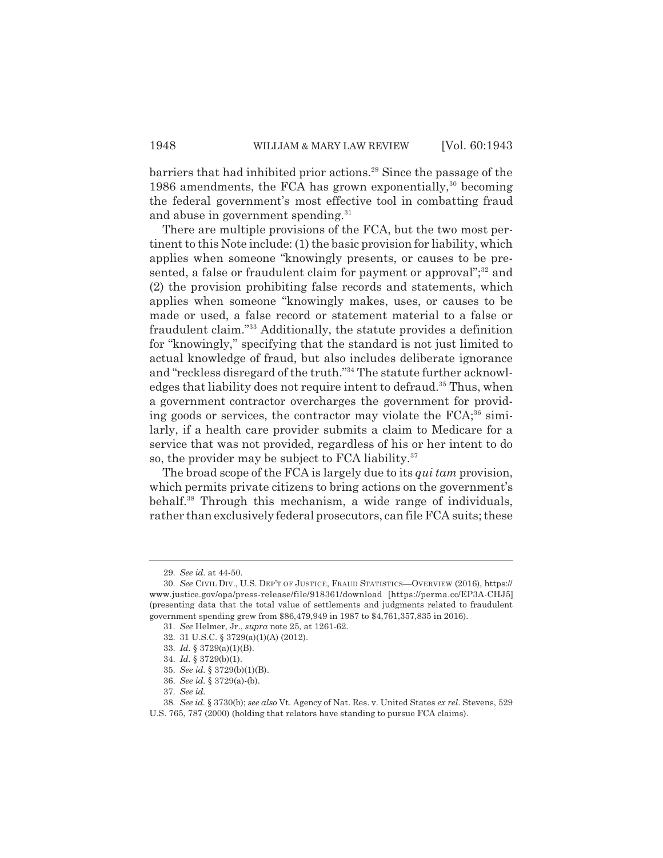barriers that had inhibited prior actions.<sup>29</sup> Since the passage of the 1986 amendments, the FCA has grown exponentially,  $30$  becoming the federal government's most effective tool in combatting fraud and abuse in government spending.<sup>31</sup>

There are multiple provisions of the FCA, but the two most pertinent to this Note include: (1) the basic provision for liability, which applies when someone "knowingly presents, or causes to be presented, a false or fraudulent claim for payment or approval";<sup>32</sup> and (2) the provision prohibiting false records and statements, which applies when someone "knowingly makes, uses, or causes to be made or used, a false record or statement material to a false or fraudulent claim."33 Additionally, the statute provides a definition for "knowingly," specifying that the standard is not just limited to actual knowledge of fraud, but also includes deliberate ignorance and "reckless disregard of the truth."<sup>34</sup> The statute further acknowledges that liability does not require intent to defraud.<sup>35</sup> Thus, when a government contractor overcharges the government for providing goods or services, the contractor may violate the  $FCA$ <sup>36</sup> similarly, if a health care provider submits a claim to Medicare for a service that was not provided, regardless of his or her intent to do so, the provider may be subject to FCA liability. $37$ 

The broad scope of the FCA is largely due to its *qui tam* provision, which permits private citizens to bring actions on the government's behalf.38 Through this mechanism, a wide range of individuals, rather than exclusively federal prosecutors, can file FCA suits; these

<sup>29.</sup> *See id.* at 44-50.

<sup>30.</sup> *See* CIVIL DIV., U.S. DEP'T OF JUSTICE, FRAUD STATISTICS—OVERVIEW (2016), https:// www.justice.gov/opa/press-release/file/918361/download [https://perma.cc/EP3A-CHJ5] (presenting data that the total value of settlements and judgments related to fraudulent government spending grew from \$86,479,949 in 1987 to \$4,761,357,835 in 2016).

<sup>31.</sup> *See* Helmer, Jr., *supra* note 25, at 1261-62.

<sup>32. 31</sup> U.S.C. § 3729(a)(1)(A) (2012).

<sup>33.</sup> *Id.* § 3729(a)(1)(B).

<sup>34.</sup> *Id.* § 3729(b)(1).

<sup>35.</sup> *See id.* § 3729(b)(1)(B).

<sup>36.</sup> *See id.* § 3729(a)-(b).

<sup>37.</sup> *See id.*

<sup>38.</sup> *See id.* § 3730(b); *see also* Vt. Agency of Nat. Res. v. United States *ex rel*. Stevens, 529 U.S. 765, 787 (2000) (holding that relators have standing to pursue FCA claims).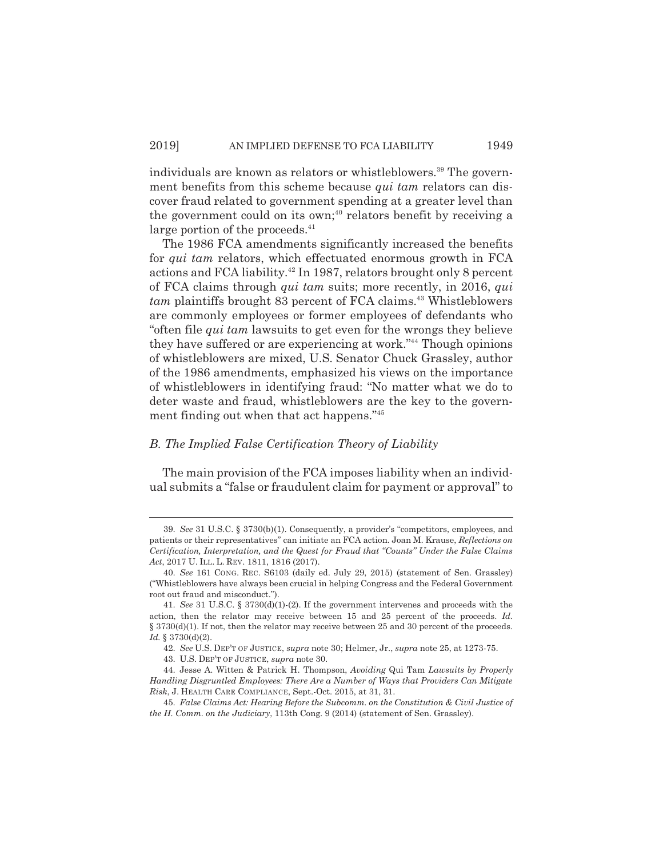individuals are known as relators or whistleblowers.<sup>39</sup> The government benefits from this scheme because *qui tam* relators can discover fraud related to government spending at a greater level than the government could on its own;<sup>40</sup> relators benefit by receiving a large portion of the proceeds. $41$ 

The 1986 FCA amendments significantly increased the benefits for *qui tam* relators, which effectuated enormous growth in FCA actions and FCA liability.<sup>42</sup> In 1987, relators brought only 8 percent of FCA claims through *qui tam* suits; more recently, in 2016, *qui tam* plaintiffs brought 83 percent of FCA claims.<sup>43</sup> Whistleblowers are commonly employees or former employees of defendants who "often file *qui tam* lawsuits to get even for the wrongs they believe they have suffered or are experiencing at work."44 Though opinions of whistleblowers are mixed, U.S. Senator Chuck Grassley, author of the 1986 amendments, emphasized his views on the importance of whistleblowers in identifying fraud: "No matter what we do to deter waste and fraud, whistleblowers are the key to the government finding out when that act happens."45

#### *B. The Implied False Certification Theory of Liability*

The main provision of the FCA imposes liability when an individual submits a "false or fraudulent claim for payment or approval" to

<sup>39.</sup> *See* 31 U.S.C. § 3730(b)(1). Consequently, a provider's "competitors, employees, and patients or their representatives" can initiate an FCA action. Joan M. Krause, *Reflections on Certification, Interpretation, and the Quest for Fraud that "Counts" Under the False Claims Act*, 2017 U. ILL. L. REV. 1811, 1816 (2017).

<sup>40.</sup> *See* 161 CONG. REC. S6103 (daily ed. July 29, 2015) (statement of Sen. Grassley) ("Whistleblowers have always been crucial in helping Congress and the Federal Government root out fraud and misconduct.").

<sup>41.</sup> *See* 31 U.S.C. § 3730(d)(1)-(2). If the government intervenes and proceeds with the action, then the relator may receive between 15 and 25 percent of the proceeds. *Id.* § 3730(d)(1). If not, then the relator may receive between 25 and 30 percent of the proceeds. *Id.* § 3730(d)(2).

<sup>42.</sup> *See* U.S. DEP'T OF JUSTICE, *supra* note 30; Helmer, Jr., *supra* note 25, at 1273-75.

<sup>43.</sup> U.S. DEP'T OF JUSTICE, *supra* note 30.

<sup>44.</sup> Jesse A. Witten & Patrick H. Thompson, *Avoiding* Qui Tam *Lawsuits by Properly Handling Disgruntled Employees: There Are a Number of Ways that Providers Can Mitigate Risk*, J. HEALTH CARE COMPLIANCE, Sept.-Oct. 2015, at 31, 31.

<sup>45.</sup> *False Claims Act: Hearing Before the Subcomm. on the Constitution & Civil Justice of the H. Comm. on the Judiciary*, 113th Cong. 9 (2014) (statement of Sen. Grassley).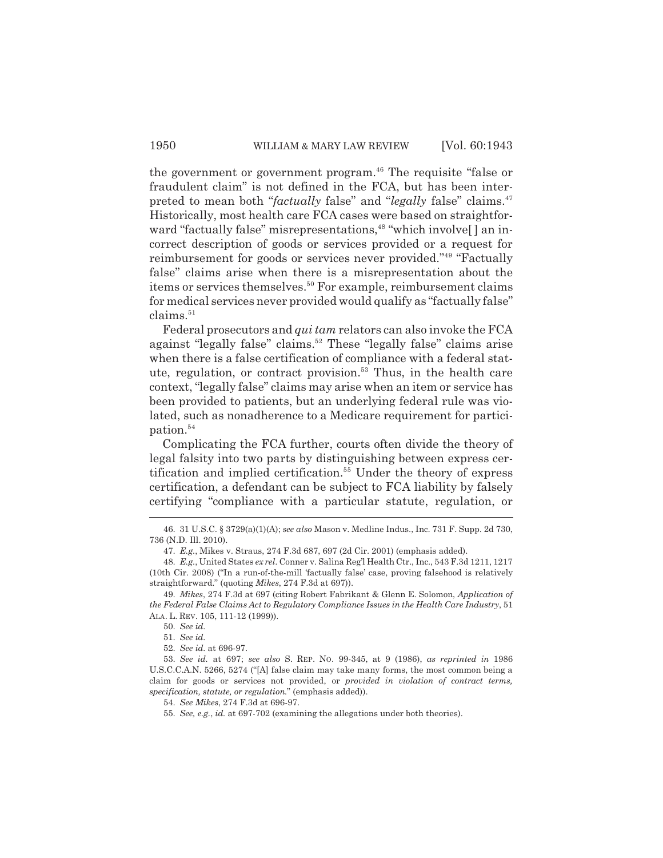the government or government program.<sup>46</sup> The requisite "false or fraudulent claim" is not defined in the FCA, but has been interpreted to mean both "*factually* false" and "*legally* false" claims.47 Historically, most health care FCA cases were based on straightforward "factually false" misrepresentations,<sup>48</sup> "which involve[] an incorrect description of goods or services provided or a request for reimbursement for goods or services never provided."49 "Factually false" claims arise when there is a misrepresentation about the items or services themselves.<sup>50</sup> For example, reimbursement claims for medical services never provided would qualify as "factually false"  $clains.<sup>51</sup>$ 

Federal prosecutors and *qui tam* relators can also invoke the FCA against "legally false" claims.<sup>52</sup> These "legally false" claims arise when there is a false certification of compliance with a federal statute, regulation, or contract provision.<sup>53</sup> Thus, in the health care context, "legally false" claims may arise when an item or service has been provided to patients, but an underlying federal rule was violated, such as nonadherence to a Medicare requirement for participation.<sup>54</sup>

Complicating the FCA further, courts often divide the theory of legal falsity into two parts by distinguishing between express certification and implied certification.<sup>55</sup> Under the theory of express certification, a defendant can be subject to FCA liability by falsely certifying "compliance with a particular statute, regulation, or

<sup>46. 31</sup> U.S.C. § 3729(a)(1)(A); *see also* Mason v. Medline Indus., Inc. 731 F. Supp. 2d 730, 736 (N.D. Ill. 2010).

<sup>47.</sup> *E.g.*, Mikes v. Straus, 274 F.3d 687, 697 (2d Cir. 2001) (emphasis added).

<sup>48.</sup> *E.g.*, United States *ex rel*. Conner v. Salina Reg'l Health Ctr., Inc., 543 F.3d 1211, 1217 (10th Cir. 2008) ("In a run-of-the-mill 'factually false' case, proving falsehood is relatively straightforward." (quoting *Mikes*, 274 F.3d at 697)).

<sup>49.</sup> *Mikes*, 274 F.3d at 697 (citing Robert Fabrikant & Glenn E. Solomon, *Application of the Federal False Claims Act to Regulatory Compliance Issues in the Health Care Industry*, 51 ALA. L. REV. 105, 111-12 (1999)).

<sup>50.</sup> *See id.*

<sup>51.</sup> *See id.*

<sup>52.</sup> *See id.* at 696-97.

<sup>53.</sup> *See id.* at 697; *see also* S. REP. NO. 99-345, at 9 (1986), *as reprinted in* 1986 U.S.C.C.A.N. 5266, 5274 ("[A] false claim may take many forms, the most common being a claim for goods or services not provided, or *provided in violation of contract terms, specification, statute, or regulation.*" (emphasis added)).

<sup>54.</sup> *See Mikes*, 274 F.3d at 696-97.

<sup>55.</sup> *See, e.g.*, *id.* at 697-702 (examining the allegations under both theories).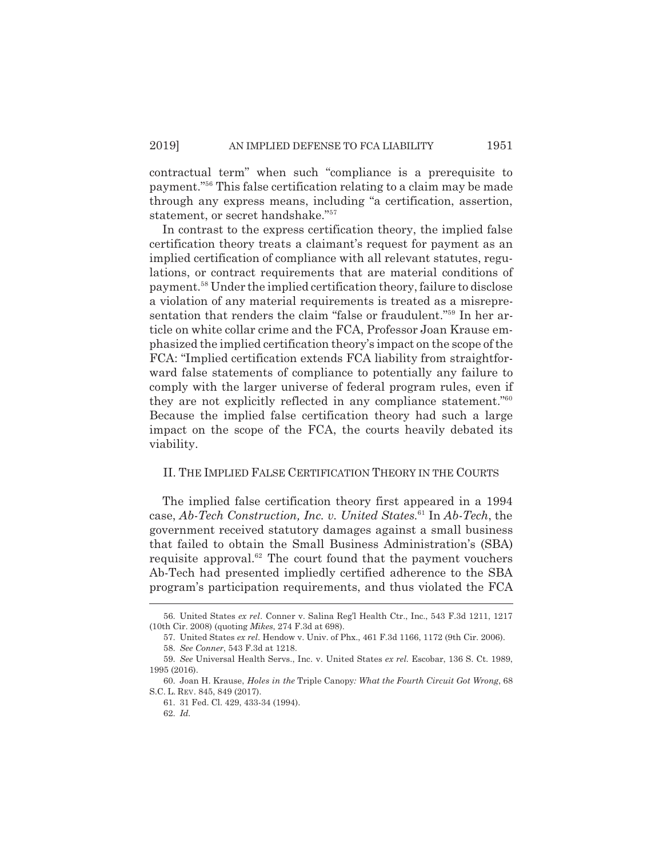contractual term" when such "compliance is a prerequisite to payment."56 This false certification relating to a claim may be made through any express means, including "a certification, assertion, statement, or secret handshake."57

In contrast to the express certification theory, the implied false certification theory treats a claimant's request for payment as an implied certification of compliance with all relevant statutes, regulations, or contract requirements that are material conditions of payment.58 Under the implied certification theory, failure to disclose a violation of any material requirements is treated as a misrepresentation that renders the claim "false or fraudulent."59 In her article on white collar crime and the FCA, Professor Joan Krause emphasized the implied certification theory's impact on the scope of the FCA: "Implied certification extends FCA liability from straightforward false statements of compliance to potentially any failure to comply with the larger universe of federal program rules, even if they are not explicitly reflected in any compliance statement."60 Because the implied false certification theory had such a large impact on the scope of the FCA, the courts heavily debated its viability.

#### II. THE IMPLIED FALSE CERTIFICATION THEORY IN THE COURTS

The implied false certification theory first appeared in a 1994 case, *Ab-Tech Construction, Inc. v. United States.*61 In *Ab-Tech*, the government received statutory damages against a small business that failed to obtain the Small Business Administration's (SBA) requisite approval. $62$  The court found that the payment vouchers Ab-Tech had presented impliedly certified adherence to the SBA program's participation requirements, and thus violated the FCA

<sup>56.</sup> United States *ex rel*. Conner v. Salina Reg'l Health Ctr., Inc., 543 F.3d 1211, 1217 (10th Cir. 2008) (quoting *Mikes*, 274 F.3d at 698).

<sup>57.</sup> United States *ex rel*. Hendow v. Univ. of Phx., 461 F.3d 1166, 1172 (9th Cir. 2006).

<sup>58.</sup> *See Conner*, 543 F.3d at 1218.

<sup>59.</sup> *See* Universal Health Servs., Inc. v. United States *ex rel.* Escobar, 136 S. Ct. 1989, 1995 (2016).

<sup>60.</sup> Joan H. Krause, *Holes in the* Triple Canopy*: What the Fourth Circuit Got Wrong*, 68 S.C. L. REV. 845, 849 (2017).

<sup>61. 31</sup> Fed. Cl. 429, 433-34 (1994).

<sup>62.</sup> *Id.*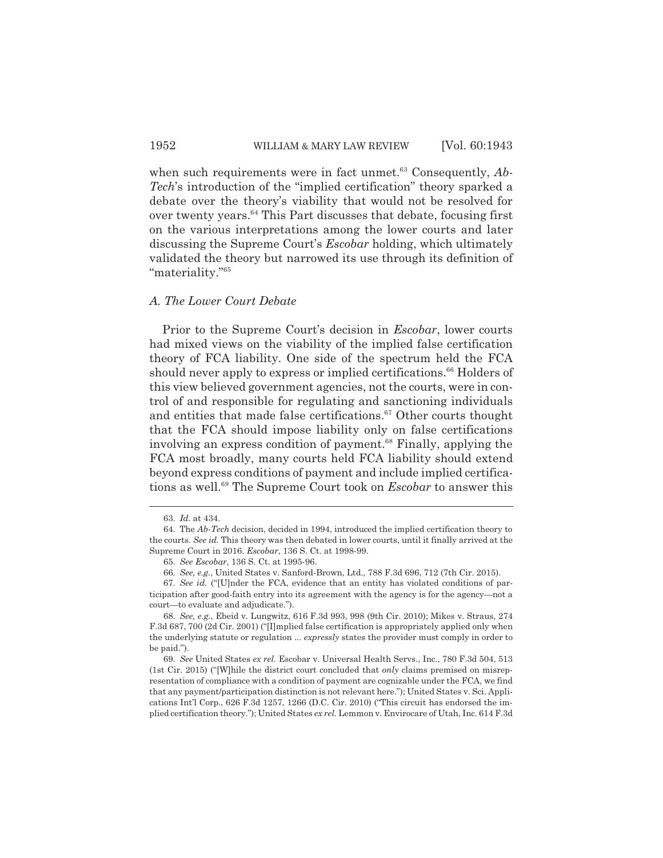when such requirements were in fact unmet.<sup>63</sup> Consequently, *Ab*-*Tech*'s introduction of the "implied certification" theory sparked a debate over the theory's viability that would not be resolved for over twenty years.<sup>64</sup> This Part discusses that debate, focusing first on the various interpretations among the lower courts and later discussing the Supreme Court's *Escobar* holding, which ultimately validated the theory but narrowed its use through its definition of "materiality."65

#### *A. The Lower Court Debate*

Prior to the Supreme Court's decision in *Escobar*, lower courts had mixed views on the viability of the implied false certification theory of FCA liability. One side of the spectrum held the FCA should never apply to express or implied certifications.<sup>66</sup> Holders of this view believed government agencies, not the courts, were in control of and responsible for regulating and sanctioning individuals and entities that made false certifications. $67$  Other courts thought that the FCA should impose liability only on false certifications involving an express condition of payment.<sup>68</sup> Finally, applying the FCA most broadly, many courts held FCA liability should extend beyond express conditions of payment and include implied certifications as well.69 The Supreme Court took on *Escobar* to answer this

<sup>63.</sup> *Id.* at 434.

<sup>64.</sup> The *Ab-Tech* decision, decided in 1994, introduced the implied certification theory to the courts. *See id.* This theory was then debated in lower courts, until it finally arrived at the Supreme Court in 2016. *Escobar*, 136 S. Ct. at 1998-99.

<sup>65.</sup> *See Escobar*, 136 S. Ct. at 1995-96.

<sup>66.</sup> *See, e.g.*, United States v. Sanford-Brown, Ltd., 788 F.3d 696, 712 (7th Cir. 2015).

<sup>67.</sup> *See id.* ("[U]nder the FCA, evidence that an entity has violated conditions of participation after good-faith entry into its agreement with the agency is for the agency—not a court—to evaluate and adjudicate.").

<sup>68.</sup> *See, e.g.*, Ebeid v. Lungwitz, 616 F.3d 993, 998 (9th Cir. 2010); Mikes v. Straus, 274 F.3d 687, 700 (2d Cir. 2001) ("[I]mplied false certification is appropriately applied only when the underlying statute or regulation ... *expressly* states the provider must comply in order to be paid.").

<sup>69.</sup> *See* United States *ex rel.* Escobar v. Universal Health Servs., Inc., 780 F.3d 504, 513 (1st Cir. 2015) ("[W]hile the district court concluded that *only* claims premised on misrepresentation of compliance with a condition of payment are cognizable under the FCA, we find that any payment/participation distinction is not relevant here."); United States v. Sci. Applications Int'l Corp., 626 F.3d 1257, 1266 (D.C. Cir. 2010) ("This circuit has endorsed the implied certification theory."); United States *ex rel.* Lemmon v. Envirocare of Utah, Inc. 614 F.3d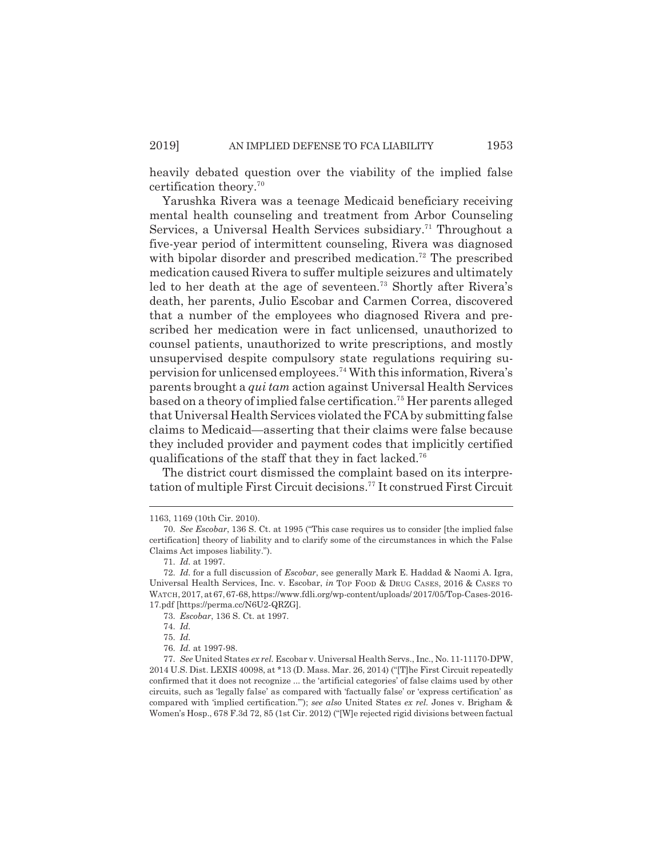heavily debated question over the viability of the implied false certification theory.70

Yarushka Rivera was a teenage Medicaid beneficiary receiving mental health counseling and treatment from Arbor Counseling Services, a Universal Health Services subsidiary.<sup>71</sup> Throughout a five-year period of intermittent counseling, Rivera was diagnosed with bipolar disorder and prescribed medication.<sup>72</sup> The prescribed medication caused Rivera to suffer multiple seizures and ultimately led to her death at the age of seventeen.73 Shortly after Rivera's death, her parents, Julio Escobar and Carmen Correa, discovered that a number of the employees who diagnosed Rivera and prescribed her medication were in fact unlicensed, unauthorized to counsel patients, unauthorized to write prescriptions, and mostly unsupervised despite compulsory state regulations requiring supervision for unlicensed employees.74 With this information, Rivera's parents brought a *qui tam* action against Universal Health Services based on a theory of implied false certification.75 Her parents alleged that Universal Health Services violated the FCA by submitting false claims to Medicaid—asserting that their claims were false because they included provider and payment codes that implicitly certified qualifications of the staff that they in fact lacked.<sup>76</sup>

The district court dismissed the complaint based on its interpretation of multiple First Circuit decisions.77 It construed First Circuit

<sup>1163, 1169 (10</sup>th Cir. 2010).

<sup>70.</sup> *See Escobar*, 136 S. Ct. at 1995 ("This case requires us to consider [the implied false certification] theory of liability and to clarify some of the circumstances in which the False Claims Act imposes liability.").

<sup>71.</sup> *Id.* at 1997.

<sup>72.</sup> *Id.* for a full discussion of *Escobar*, see generally Mark E. Haddad & Naomi A. Igra, Universal Health Services, Inc. v. Escobar, *in* TOP FOOD & DRUG CASES, 2016 & CASES TO WATCH, 2017, at 67, 67-68, https://www.fdli.org/wp-content/uploads/ 2017/05/Top-Cases-2016- 17.pdf [https://perma.cc/N6U2-QRZG].

<sup>73.</sup> *Escobar*, 136 S. Ct. at 1997.

<sup>74.</sup> *Id.*

<sup>75.</sup> *Id.*

<sup>76.</sup> *Id.* at 1997-98.

<sup>77.</sup> *See* United States *ex rel.* Escobar v. Universal Health Servs., Inc., No. 11-11170-DPW, 2014 U.S. Dist. LEXIS 40098, at \*13 (D. Mass. Mar. 26, 2014) ("[T]he First Circuit repeatedly confirmed that it does not recognize ... the 'artificial categories' of false claims used by other circuits, such as 'legally false' as compared with 'factually false' or 'express certification' as compared with 'implied certification.'"); *see also* United States *ex rel.* Jones v. Brigham & Women's Hosp., 678 F.3d 72, 85 (1st Cir. 2012) ("[W]e rejected rigid divisions between factual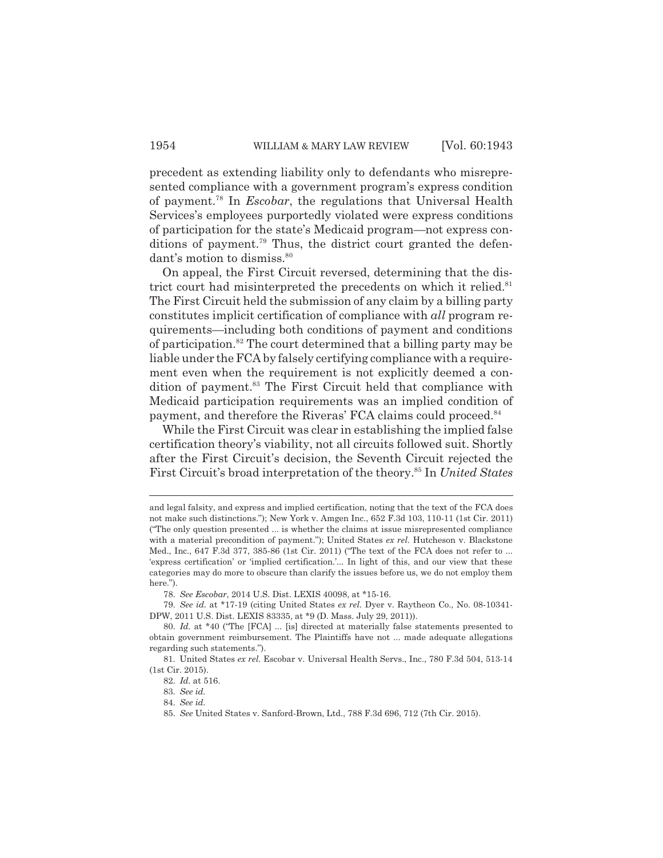precedent as extending liability only to defendants who misrepresented compliance with a government program's express condition of payment.78 In *Escobar*, the regulations that Universal Health Services's employees purportedly violated were express conditions of participation for the state's Medicaid program—not express conditions of payment.<sup>79</sup> Thus, the district court granted the defendant's motion to dismiss.<sup>80</sup>

On appeal, the First Circuit reversed, determining that the district court had misinterpreted the precedents on which it relied.<sup>81</sup> The First Circuit held the submission of any claim by a billing party constitutes implicit certification of compliance with *all* program requirements—including both conditions of payment and conditions of participation.82 The court determined that a billing party may be liable under the FCA by falsely certifying compliance with a requirement even when the requirement is not explicitly deemed a condition of payment.<sup>83</sup> The First Circuit held that compliance with Medicaid participation requirements was an implied condition of payment, and therefore the Riveras' FCA claims could proceed.<sup>84</sup>

While the First Circuit was clear in establishing the implied false certification theory's viability, not all circuits followed suit. Shortly after the First Circuit's decision, the Seventh Circuit rejected the First Circuit's broad interpretation of the theory.85 In *United States*

and legal falsity, and express and implied certification, noting that the text of the FCA does not make such distinctions."); New York v. Amgen Inc., 652 F.3d 103, 110-11 (1st Cir. 2011) ("The only question presented ... is whether the claims at issue misrepresented compliance with a material precondition of payment."); United States *ex rel.* Hutcheson v. Blackstone Med., Inc., 647 F.3d 377, 385-86 (1st Cir. 2011) ("The text of the FCA does not refer to ... 'express certification' or 'implied certification.'... In light of this, and our view that these categories may do more to obscure than clarify the issues before us, we do not employ them here.").

<sup>78.</sup> *See Escobar*, 2014 U.S. Dist. LEXIS 40098, at \*15-16.

<sup>79.</sup> *See id.* at \*17-19 (citing United States *ex rel.* Dyer v. Raytheon Co., No. 08-10341- DPW, 2011 U.S. Dist. LEXIS 83335, at \*9 (D. Mass. July 29, 2011)).

<sup>80.</sup> *Id.* at \*40 ("The [FCA] ... [is] directed at materially false statements presented to obtain government reimbursement. The Plaintiffs have not ... made adequate allegations regarding such statements.").

<sup>81.</sup> United States *ex rel.* Escobar v. Universal Health Servs., Inc., 780 F.3d 504, 513-14 (1st Cir. 2015).

<sup>82.</sup> *Id.* at 516.

<sup>83.</sup> *See id.* 

<sup>84.</sup> *See id.* 

<sup>85.</sup> *See* United States v. Sanford-Brown, Ltd., 788 F.3d 696, 712 (7th Cir. 2015).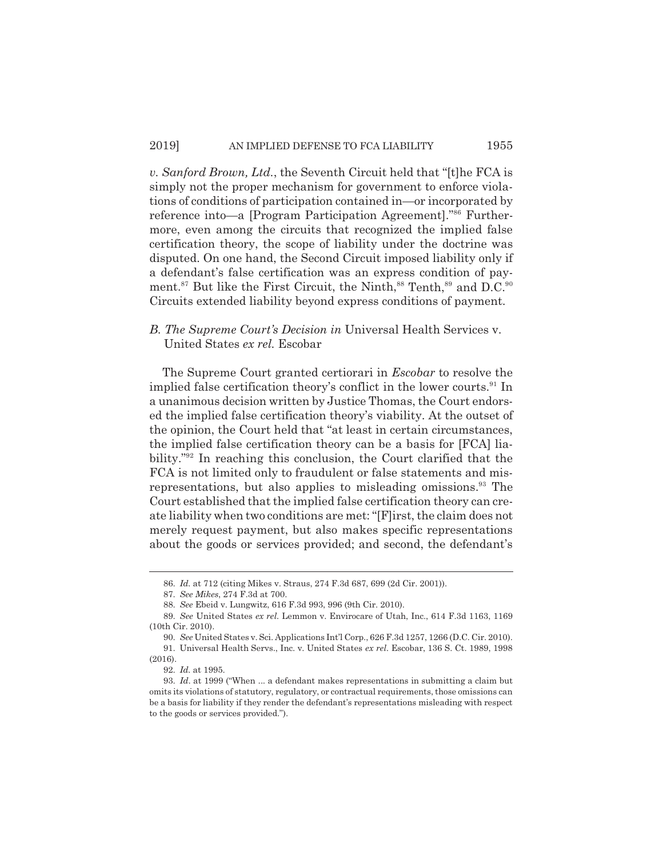*v. Sanford Brown, Ltd.*, the Seventh Circuit held that "[t]he FCA is simply not the proper mechanism for government to enforce violations of conditions of participation contained in—or incorporated by reference into—a [Program Participation Agreement]."86 Furthermore, even among the circuits that recognized the implied false certification theory, the scope of liability under the doctrine was disputed. On one hand, the Second Circuit imposed liability only if a defendant's false certification was an express condition of payment.<sup>87</sup> But like the First Circuit, the Ninth,  $88$  Tenth,  $89$  and D.C.  $80$ Circuits extended liability beyond express conditions of payment.

## *B. The Supreme Court's Decision in* Universal Health Services v. United States *ex rel.* Escobar

The Supreme Court granted certiorari in *Escobar* to resolve the implied false certification theory's conflict in the lower courts.<sup>91</sup> In a unanimous decision written by Justice Thomas, the Court endorsed the implied false certification theory's viability. At the outset of the opinion, the Court held that "at least in certain circumstances, the implied false certification theory can be a basis for [FCA] liability."92 In reaching this conclusion, the Court clarified that the FCA is not limited only to fraudulent or false statements and misrepresentations, but also applies to misleading omissions.<sup>93</sup> The Court established that the implied false certification theory can create liability when two conditions are met: "[F]irst, the claim does not merely request payment, but also makes specific representations about the goods or services provided; and second, the defendant's

<sup>86.</sup> *Id.* at 712 (citing Mikes v. Straus, 274 F.3d 687, 699 (2d Cir. 2001)).

<sup>87.</sup> *See Mikes*, 274 F.3d at 700.

<sup>88.</sup> *See* Ebeid v. Lungwitz, 616 F.3d 993, 996 (9th Cir. 2010).

<sup>89.</sup> *See* United States *ex rel.* Lemmon v. Envirocare of Utah, Inc., 614 F.3d 1163, 1169 (10th Cir. 2010).

<sup>90.</sup> *See* United States v. Sci. Applications Int'l Corp., 626 F.3d 1257, 1266 (D.C. Cir. 2010).

<sup>91.</sup> Universal Health Servs., Inc. v. United States *ex rel.* Escobar, 136 S. Ct. 1989, 1998 (2016).

<sup>92.</sup> *Id.* at 1995.

<sup>93.</sup> *Id*. at 1999 ("When ... a defendant makes representations in submitting a claim but omits its violations of statutory, regulatory, or contractual requirements, those omissions can be a basis for liability if they render the defendant's representations misleading with respect to the goods or services provided.").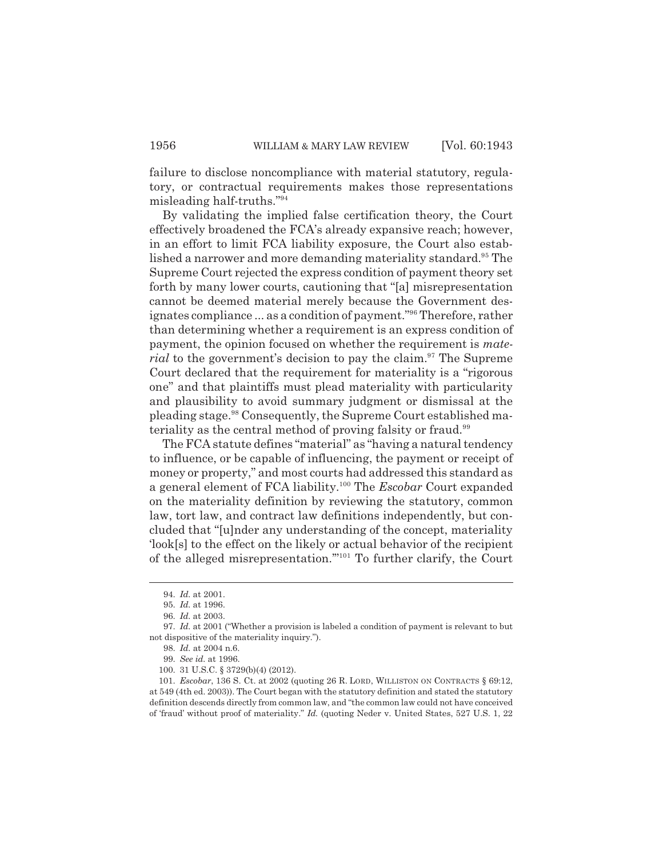failure to disclose noncompliance with material statutory, regulatory, or contractual requirements makes those representations misleading half-truths."94

By validating the implied false certification theory, the Court effectively broadened the FCA's already expansive reach; however, in an effort to limit FCA liability exposure, the Court also established a narrower and more demanding materiality standard.<sup>95</sup> The Supreme Court rejected the express condition of payment theory set forth by many lower courts, cautioning that "[a] misrepresentation cannot be deemed material merely because the Government designates compliance ... as a condition of payment."96 Therefore, rather than determining whether a requirement is an express condition of payment, the opinion focused on whether the requirement is *material* to the government's decision to pay the claim.<sup>97</sup> The Supreme Court declared that the requirement for materiality is a "rigorous one" and that plaintiffs must plead materiality with particularity and plausibility to avoid summary judgment or dismissal at the pleading stage.98 Consequently, the Supreme Court established materiality as the central method of proving falsity or fraud.<sup>99</sup>

The FCA statute defines "material" as "having a natural tendency to influence, or be capable of influencing, the payment or receipt of money or property," and most courts had addressed this standard as a general element of FCA liability.100 The *Escobar* Court expanded on the materiality definition by reviewing the statutory, common law, tort law, and contract law definitions independently, but concluded that "[u]nder any understanding of the concept, materiality 'look[s] to the effect on the likely or actual behavior of the recipient of the alleged misrepresentation.'"101 To further clarify, the Court

<sup>94.</sup> *Id.* at 2001.

<sup>95.</sup> *Id.* at 1996.

<sup>96.</sup> *Id.* at 2003.

<sup>97.</sup> *Id.* at 2001 ("Whether a provision is labeled a condition of payment is relevant to but not dispositive of the materiality inquiry.").

<sup>98.</sup> *Id.* at 2004 n.6.

<sup>99.</sup> *See id.* at 1996.

<sup>100. 31</sup> U.S.C. § 3729(b)(4) (2012).

<sup>101.</sup> *Escobar*, 136 S. Ct. at 2002 (quoting 26 R. LORD, WILLISTON ON CONTRACTS § 69:12, at 549 (4th ed. 2003)). The Court began with the statutory definition and stated the statutory definition descends directly from common law, and "the common law could not have conceived of 'fraud' without proof of materiality." *Id.* (quoting Neder v. United States, 527 U.S. 1, 22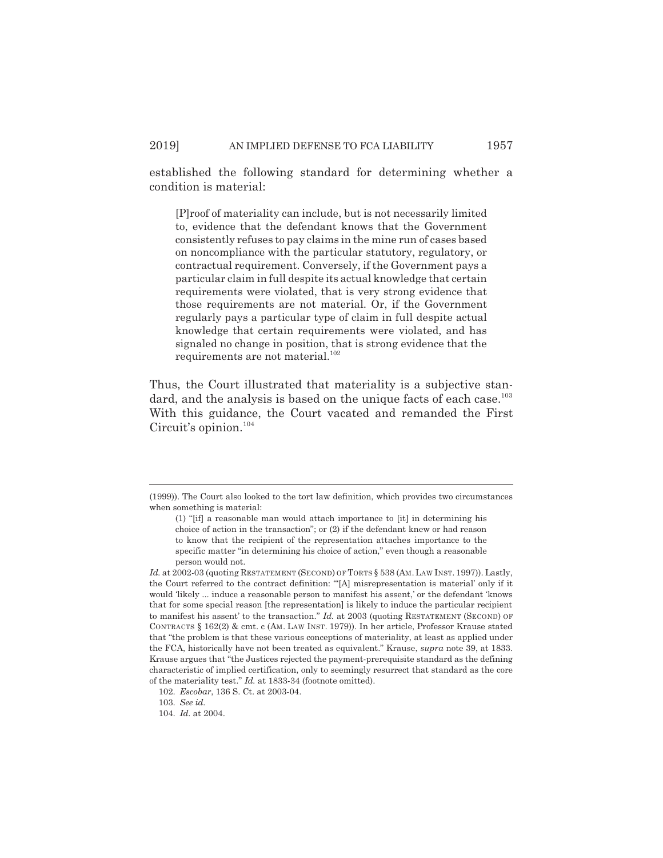established the following standard for determining whether a condition is material:

[P]roof of materiality can include, but is not necessarily limited to, evidence that the defendant knows that the Government consistently refuses to pay claims in the mine run of cases based on noncompliance with the particular statutory, regulatory, or contractual requirement. Conversely, if the Government pays a particular claim in full despite its actual knowledge that certain requirements were violated, that is very strong evidence that those requirements are not material. Or, if the Government regularly pays a particular type of claim in full despite actual knowledge that certain requirements were violated, and has signaled no change in position, that is strong evidence that the requirements are not material.<sup>102</sup>

Thus, the Court illustrated that materiality is a subjective standard, and the analysis is based on the unique facts of each case.<sup>103</sup> With this guidance, the Court vacated and remanded the First Circuit's opinion.<sup>104</sup>

102. *Escobar*, 136 S. Ct. at 2003-04.

<sup>(1999)).</sup> The Court also looked to the tort law definition, which provides two circumstances when something is material:

<sup>(1) &</sup>quot;[if] a reasonable man would attach importance to [it] in determining his choice of action in the transaction"; or (2) if the defendant knew or had reason to know that the recipient of the representation attaches importance to the specific matter "in determining his choice of action," even though a reasonable person would not.

Id. at 2002-03 (quoting RESTATEMENT (SECOND) OF TORTS § 538 (AM. LAW INST. 1997)). Lastly, the Court referred to the contract definition: "'[A] misrepresentation is material' only if it would 'likely ... induce a reasonable person to manifest his assent,' or the defendant 'knows that for some special reason [the representation] is likely to induce the particular recipient to manifest his assent' to the transaction." *Id.* at 2003 (quoting RESTATEMENT (SECOND) OF CONTRACTS § 162(2) & cmt. c (AM. LAW INST. 1979)). In her article, Professor Krause stated that "the problem is that these various conceptions of materiality, at least as applied under the FCA, historically have not been treated as equivalent." Krause, *supra* note 39, at 1833. Krause argues that "the Justices rejected the payment-prerequisite standard as the defining characteristic of implied certification, only to seemingly resurrect that standard as the core of the materiality test." *Id.* at 1833-34 (footnote omitted).

<sup>103.</sup> *See id.* 

<sup>104.</sup> *Id.* at 2004.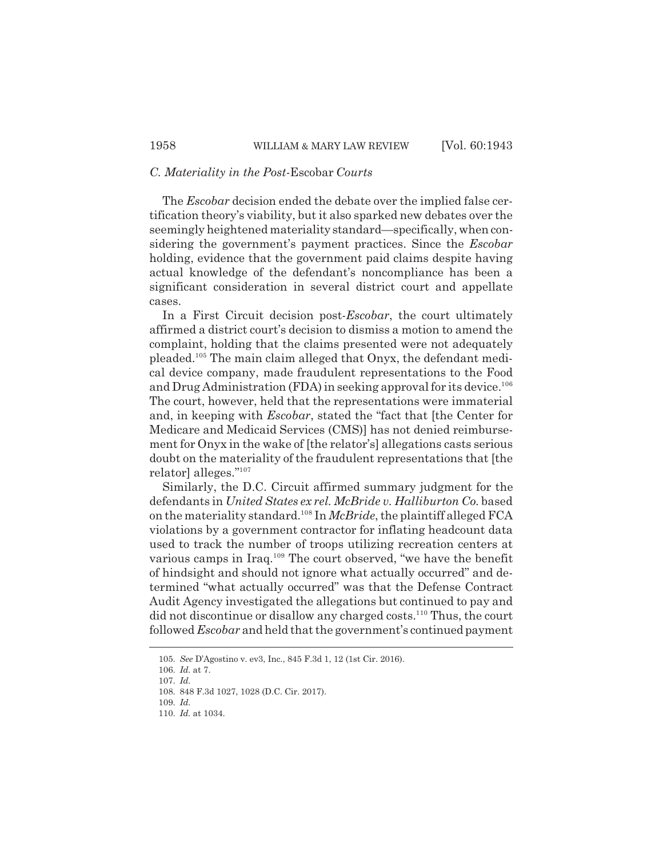# *C. Materiality in the Post-*Escobar *Courts*

The *Escobar* decision ended the debate over the implied false certification theory's viability, but it also sparked new debates over the seemingly heightened materiality standard—specifically, when considering the government's payment practices. Since the *Escobar* holding, evidence that the government paid claims despite having actual knowledge of the defendant's noncompliance has been a significant consideration in several district court and appellate cases.

In a First Circuit decision post-*Escobar*, the court ultimately affirmed a district court's decision to dismiss a motion to amend the complaint, holding that the claims presented were not adequately pleaded.105 The main claim alleged that Onyx, the defendant medical device company, made fraudulent representations to the Food and Drug Administration (FDA) in seeking approval for its device.<sup>106</sup> The court, however, held that the representations were immaterial and, in keeping with *Escobar*, stated the "fact that [the Center for Medicare and Medicaid Services (CMS)] has not denied reimbursement for Onyx in the wake of [the relator's] allegations casts serious doubt on the materiality of the fraudulent representations that [the relator] alleges."107

Similarly, the D.C. Circuit affirmed summary judgment for the defendants in *United States ex rel. McBride v. Halliburton Co.* based on the materiality standard.108 In *McBride*, the plaintiff alleged FCA violations by a government contractor for inflating headcount data used to track the number of troops utilizing recreation centers at various camps in Iraq.<sup>109</sup> The court observed, "we have the benefit of hindsight and should not ignore what actually occurred" and determined "what actually occurred" was that the Defense Contract Audit Agency investigated the allegations but continued to pay and did not discontinue or disallow any charged costs.<sup>110</sup> Thus, the court followed *Escobar* and held that the government's continued payment

<sup>105.</sup> *See* D'Agostino v. ev3, Inc., 845 F.3d 1, 12 (1st Cir. 2016).

<sup>106.</sup> *Id.* at 7.

<sup>107.</sup> *Id.* 

<sup>108. 848</sup> F.3d 1027, 1028 (D.C. Cir. 2017).

<sup>109.</sup> *Id.*

<sup>110.</sup> *Id.* at 1034.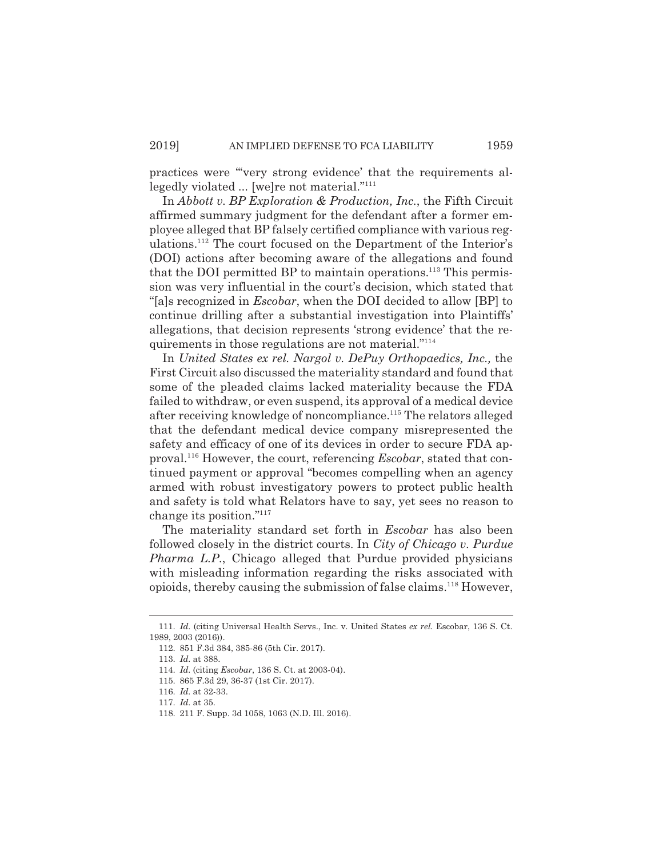practices were "'very strong evidence' that the requirements allegedly violated ... [we]re not material."111

In *Abbott v. BP Exploration & Production, Inc.*, the Fifth Circuit affirmed summary judgment for the defendant after a former employee alleged that BP falsely certified compliance with various regulations.112 The court focused on the Department of the Interior's (DOI) actions after becoming aware of the allegations and found that the DOI permitted BP to maintain operations.<sup>113</sup> This permission was very influential in the court's decision, which stated that "[a]s recognized in *Escobar*, when the DOI decided to allow [BP] to continue drilling after a substantial investigation into Plaintiffs' allegations, that decision represents 'strong evidence' that the requirements in those regulations are not material."114

In *United States ex rel. Nargol v. DePuy Orthopaedics, Inc.,* the First Circuit also discussed the materiality standard and found that some of the pleaded claims lacked materiality because the FDA failed to withdraw, or even suspend, its approval of a medical device after receiving knowledge of noncompliance.115 The relators alleged that the defendant medical device company misrepresented the safety and efficacy of one of its devices in order to secure FDA approval.116 However, the court, referencing *Escobar*, stated that continued payment or approval "becomes compelling when an agency armed with robust investigatory powers to protect public health and safety is told what Relators have to say, yet sees no reason to change its position."117

The materiality standard set forth in *Escobar* has also been followed closely in the district courts. In *City of Chicago v. Purdue Pharma L.P.*, Chicago alleged that Purdue provided physicians with misleading information regarding the risks associated with opioids, thereby causing the submission of false claims.118 However,

<sup>111.</sup> *Id.* (citing Universal Health Servs., Inc. v. United States *ex rel.* Escobar, 136 S. Ct. 1989, 2003 (2016)).

<sup>112. 851</sup> F.3d 384, 385-86 (5th Cir. 2017).

<sup>113.</sup> *Id.* at 388.

<sup>114.</sup> *Id.* (citing *Escobar*, 136 S. Ct. at 2003-04).

<sup>115. 865</sup> F.3d 29, 36-37 (1st Cir. 2017).

<sup>116.</sup> *Id.* at 32-33.

<sup>117.</sup> *Id.* at 35.

<sup>118. 211</sup> F. Supp. 3d 1058, 1063 (N.D. Ill. 2016).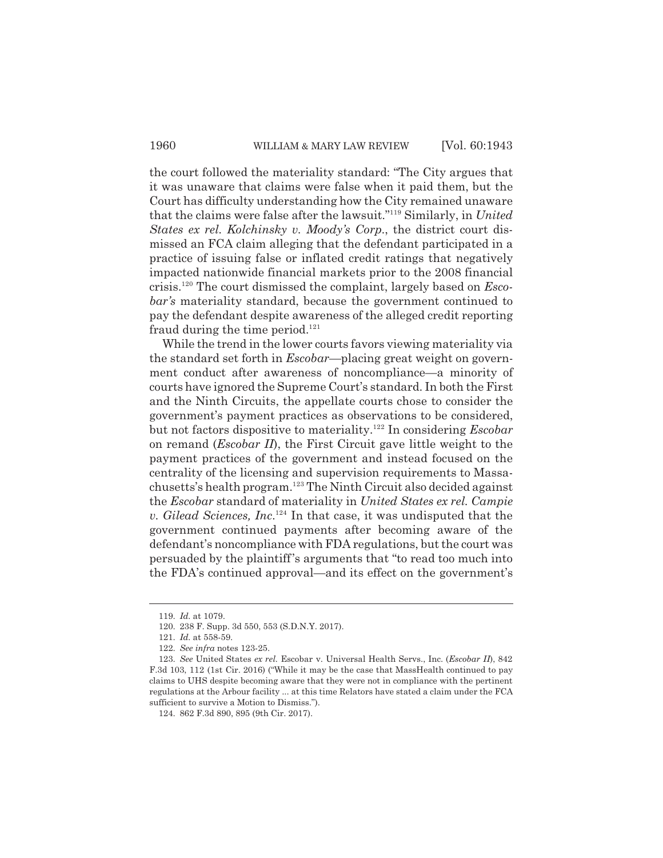the court followed the materiality standard: "The City argues that it was unaware that claims were false when it paid them, but the Court has difficulty understanding how the City remained unaware that the claims were false after the lawsuit."119 Similarly, in *United States ex rel. Kolchinsky v. Moody's Corp*., the district court dismissed an FCA claim alleging that the defendant participated in a practice of issuing false or inflated credit ratings that negatively impacted nationwide financial markets prior to the 2008 financial crisis.120 The court dismissed the complaint, largely based on *Escobar's* materiality standard, because the government continued to pay the defendant despite awareness of the alleged credit reporting fraud during the time period. $121$ 

While the trend in the lower courts favors viewing materiality via the standard set forth in *Escobar*—placing great weight on government conduct after awareness of noncompliance—a minority of courts have ignored the Supreme Court's standard. In both the First and the Ninth Circuits, the appellate courts chose to consider the government's payment practices as observations to be considered, but not factors dispositive to materiality.122 In considering *Escobar* on remand (*Escobar II*), the First Circuit gave little weight to the payment practices of the government and instead focused on the centrality of the licensing and supervision requirements to Massachusetts's health program.123 The Ninth Circuit also decided against the *Escobar* standard of materiality in *United States ex rel. Campie v. Gilead Sciences, Inc*. 124 In that case, it was undisputed that the government continued payments after becoming aware of the defendant's noncompliance with FDA regulations, but the court was persuaded by the plaintiff's arguments that "to read too much into the FDA's continued approval—and its effect on the government's

<sup>119.</sup> *Id.* at 1079.

<sup>120. 238</sup> F. Supp. 3d 550, 553 (S.D.N.Y. 2017).

<sup>121.</sup> *Id.* at 558-59.

<sup>122.</sup> *See infra* notes 123-25.

<sup>123.</sup> *See* United States *ex rel.* Escobar v. Universal Health Servs., Inc. (*Escobar II*), 842 F.3d 103, 112 (1st Cir. 2016) ("While it may be the case that MassHealth continued to pay claims to UHS despite becoming aware that they were not in compliance with the pertinent regulations at the Arbour facility ... at this time Relators have stated a claim under the FCA sufficient to survive a Motion to Dismiss.").

<sup>124. 862</sup> F.3d 890, 895 (9th Cir. 2017).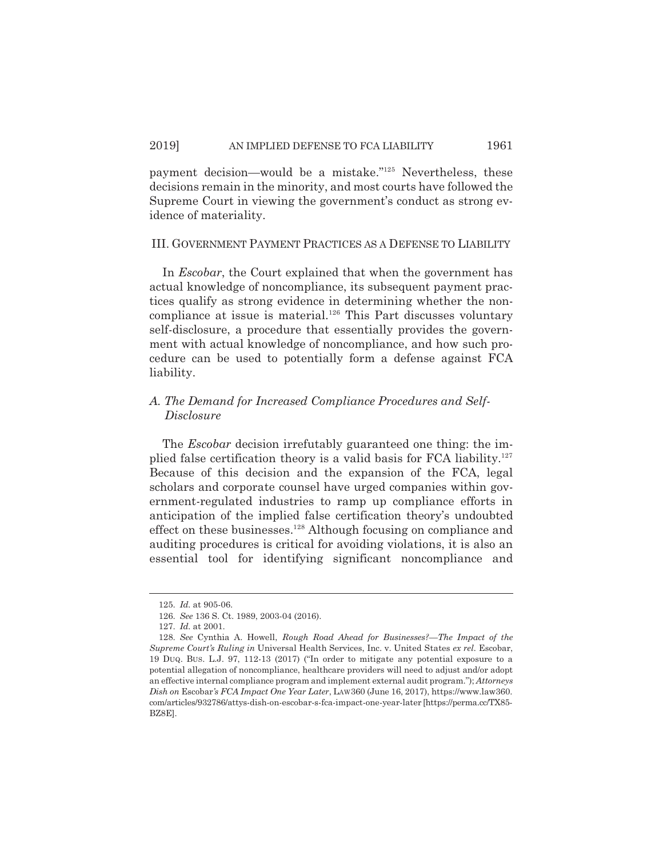payment decision—would be a mistake."125 Nevertheless, these decisions remain in the minority, and most courts have followed the Supreme Court in viewing the government's conduct as strong evidence of materiality.

#### III. GOVERNMENT PAYMENT PRACTICES AS A DEFENSE TO LIABILITY

In *Escobar*, the Court explained that when the government has actual knowledge of noncompliance, its subsequent payment practices qualify as strong evidence in determining whether the noncompliance at issue is material.<sup>126</sup> This Part discusses voluntary self-disclosure, a procedure that essentially provides the government with actual knowledge of noncompliance, and how such procedure can be used to potentially form a defense against FCA liability.

# *A. The Demand for Increased Compliance Procedures and Self-Disclosure*

The *Escobar* decision irrefutably guaranteed one thing: the implied false certification theory is a valid basis for FCA liability. $127$ Because of this decision and the expansion of the FCA, legal scholars and corporate counsel have urged companies within government-regulated industries to ramp up compliance efforts in anticipation of the implied false certification theory's undoubted effect on these businesses.<sup>128</sup> Although focusing on compliance and auditing procedures is critical for avoiding violations, it is also an essential tool for identifying significant noncompliance and

<sup>125.</sup> *Id.* at 905-06.

<sup>126.</sup> *See* 136 S. Ct. 1989, 2003-04 (2016).

<sup>127.</sup> *Id.* at 2001.

<sup>128.</sup> *See* Cynthia A. Howell, *Rough Road Ahead for Businesses?—The Impact of the Supreme Court's Ruling in* Universal Health Services, Inc. v. United States *ex rel.* Escobar, 19 DUQ. BUS. L.J. 97, 112-13 (2017) ("In order to mitigate any potential exposure to a potential allegation of noncompliance, healthcare providers will need to adjust and/or adopt an effective internal compliance program and implement external audit program."); *Attorneys Dish on* Escobar*'s FCA Impact One Year Later*, LAW360 (June 16, 2017), https://www.law360. com/articles/932786/attys-dish-on-escobar-s-fca-impact-one-year-later [https://perma.cc/TX85- BZ8E].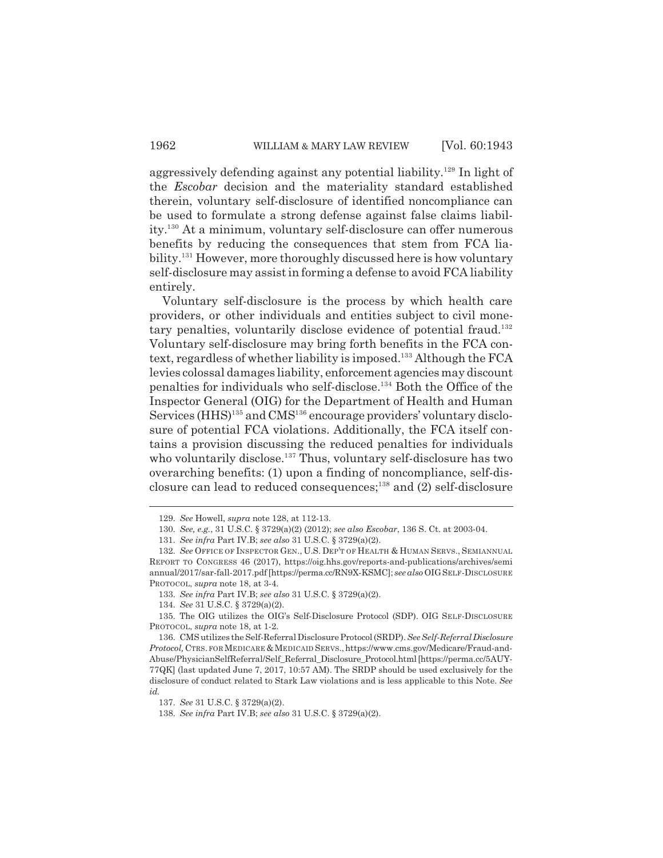aggressively defending against any potential liability.<sup>129</sup> In light of the *Escobar* decision and the materiality standard established therein, voluntary self-disclosure of identified noncompliance can be used to formulate a strong defense against false claims liability.130 At a minimum, voluntary self-disclosure can offer numerous benefits by reducing the consequences that stem from FCA liability.<sup>131</sup> However, more thoroughly discussed here is how voluntary self-disclosure may assist in forming a defense to avoid FCA liability entirely.

Voluntary self-disclosure is the process by which health care providers, or other individuals and entities subject to civil monetary penalties, voluntarily disclose evidence of potential fraud.<sup>132</sup> Voluntary self-disclosure may bring forth benefits in the FCA context, regardless of whether liability is imposed.<sup>133</sup> Although the FCA levies colossal damages liability, enforcement agencies may discount penalties for individuals who self-disclose.134 Both the Office of the Inspector General (OIG) for the Department of Health and Human Services (HHS)<sup>135</sup> and CMS<sup>136</sup> encourage providers' voluntary disclosure of potential FCA violations. Additionally, the FCA itself contains a provision discussing the reduced penalties for individuals who voluntarily disclose.<sup>137</sup> Thus, voluntary self-disclosure has two overarching benefits: (1) upon a finding of noncompliance, self-disclosure can lead to reduced consequences;138 and (2) self-disclosure

<sup>129.</sup> *See* Howell, *supra* note 128, at 112-13.

<sup>130.</sup> *See, e.g.*, 31 U.S.C. § 3729(a)(2) (2012); *see also Escobar*, 136 S. Ct. at 2003-04.

<sup>131.</sup> *See infra* Part IV.B; *see also* 31 U.S.C. § 3729(a)(2).

<sup>132.</sup> *See* OFFICE OF INSPECTOR GEN., U.S. DEP'T OF HEALTH & HUMAN SERVS., SEMIANNUAL REPORT TO CONGRESS 46 (2017), https://oig.hhs.gov/reports-and-publications/archives/semi annual/2017/sar-fall-2017.pdf [https://perma.cc/RN9X-KSMC]; *see also* OIGSELF-DISCLOSURE PROTOCOL, *supra* note 18, at 3-4.

<sup>133.</sup> *See infra* Part IV.B; *see also* 31 U.S.C. § 3729(a)(2).

<sup>134.</sup> *See* 31 U.S.C. § 3729(a)(2).

<sup>135.</sup> The OIG utilizes the OIG's Self-Disclosure Protocol (SDP). OIG SELF-DISCLOSURE PROTOCOL, *supra* note 18, at 1-2.

<sup>136.</sup> CMS utilizes the Self-Referral Disclosure Protocol (SRDP). *See Self-Referral Disclosure*  $Protocol$ , CTRS. FOR MEDICARE & MEDICAID SERVS., https://www.cms.gov/Medicare/Fraud-and-Abuse/PhysicianSelfReferral/Self\_Referral\_Disclosure\_Protocol.html [https://perma.cc/5AUY-77QK] (last updated June 7, 2017, 10:57 AM). The SRDP should be used exclusively for the disclosure of conduct related to Stark Law violations and is less applicable to this Note. *See id.*

<sup>137.</sup> *See* 31 U.S.C. § 3729(a)(2).

<sup>138.</sup> *See infra* Part IV.B; *see also* 31 U.S.C. § 3729(a)(2).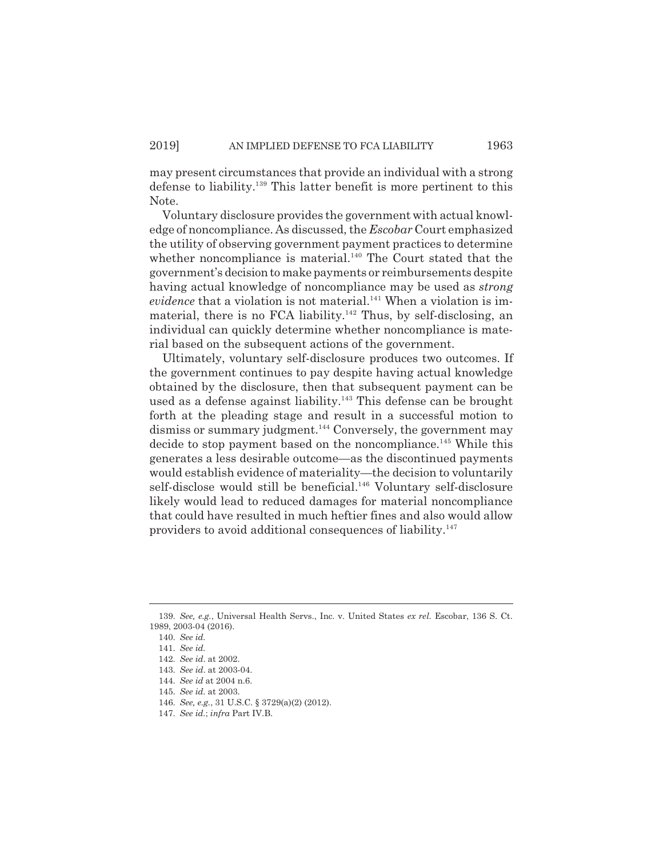may present circumstances that provide an individual with a strong defense to liability.139 This latter benefit is more pertinent to this Note.

Voluntary disclosure provides the government with actual knowledge of noncompliance. As discussed, the *Escobar* Court emphasized the utility of observing government payment practices to determine whether noncompliance is material. $140$  The Court stated that the government's decision to make payments or reimbursements despite having actual knowledge of noncompliance may be used as *strong evidence* that a violation is not material.<sup>141</sup> When a violation is immaterial, there is no FCA liability.<sup>142</sup> Thus, by self-disclosing, an individual can quickly determine whether noncompliance is material based on the subsequent actions of the government.

Ultimately, voluntary self-disclosure produces two outcomes. If the government continues to pay despite having actual knowledge obtained by the disclosure, then that subsequent payment can be used as a defense against liability.<sup>143</sup> This defense can be brought forth at the pleading stage and result in a successful motion to dismiss or summary judgment.<sup>144</sup> Conversely, the government may decide to stop payment based on the noncompliance.<sup>145</sup> While this generates a less desirable outcome—as the discontinued payments would establish evidence of materiality—the decision to voluntarily self-disclose would still be beneficial.<sup>146</sup> Voluntary self-disclosure likely would lead to reduced damages for material noncompliance that could have resulted in much heftier fines and also would allow providers to avoid additional consequences of liability.<sup>147</sup>

<sup>139.</sup> *See, e.g.*, Universal Health Servs., Inc. v. United States *ex rel.* Escobar, 136 S. Ct. 1989, 2003-04 (2016).

<sup>140.</sup> *See id.*

<sup>141.</sup> *See id.*

<sup>142.</sup> *See id*. at 2002.

<sup>143.</sup> *See id*. at 2003-04.

<sup>144.</sup> *See id* at 2004 n.6.

<sup>145.</sup> *See id.* at 2003.

<sup>146.</sup> *See, e.g.*, 31 U.S.C. § 3729(a)(2) (2012).

<sup>147.</sup> *See id.*; *infra* Part IV.B.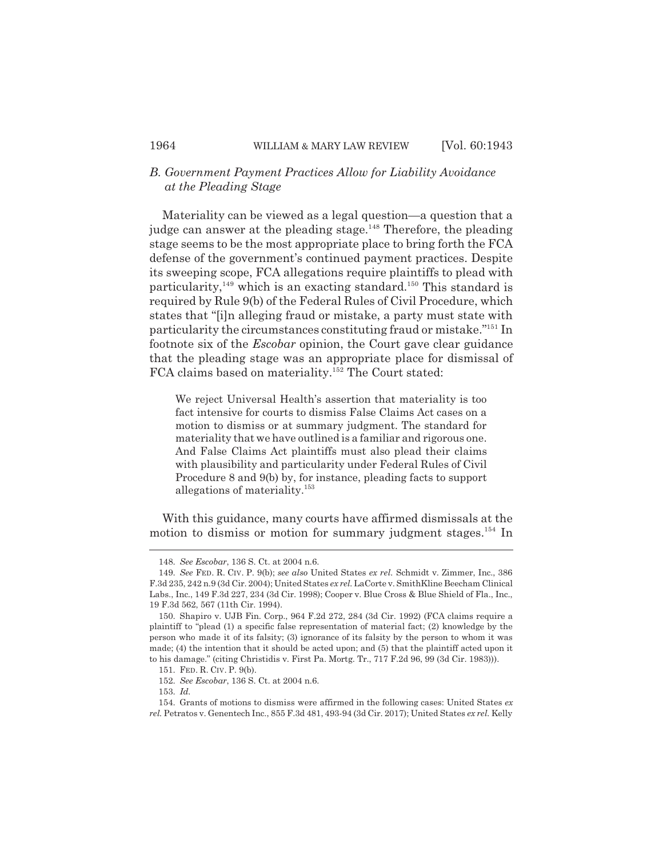# *B. Government Payment Practices Allow for Liability Avoidance at the Pleading Stage*

Materiality can be viewed as a legal question—a question that a judge can answer at the pleading stage.<sup>148</sup> Therefore, the pleading stage seems to be the most appropriate place to bring forth the FCA defense of the government's continued payment practices. Despite its sweeping scope, FCA allegations require plaintiffs to plead with particularity,<sup>149</sup> which is an exacting standard.<sup>150</sup> This standard is required by Rule 9(b) of the Federal Rules of Civil Procedure, which states that "[i]n alleging fraud or mistake, a party must state with particularity the circumstances constituting fraud or mistake."151 In footnote six of the *Escobar* opinion, the Court gave clear guidance that the pleading stage was an appropriate place for dismissal of FCA claims based on materiality.<sup>152</sup> The Court stated:

We reject Universal Health's assertion that materiality is too fact intensive for courts to dismiss False Claims Act cases on a motion to dismiss or at summary judgment. The standard for materiality that we have outlined is a familiar and rigorous one. And False Claims Act plaintiffs must also plead their claims with plausibility and particularity under Federal Rules of Civil Procedure 8 and 9(b) by, for instance, pleading facts to support allegations of materiality.153

With this guidance, many courts have affirmed dismissals at the motion to dismiss or motion for summary judgment stages.<sup>154</sup> In

153. *Id.*

<sup>148.</sup> *See Escobar*, 136 S. Ct. at 2004 n.6.

<sup>149.</sup> *See* FED. R. CIV. P. 9(b); *see also* United States *ex rel.* Schmidt v. Zimmer, Inc., 386 F.3d 235, 242 n.9 (3d Cir. 2004); United States *ex rel.* LaCorte v. SmithKline Beecham Clinical Labs., Inc., 149 F.3d 227, 234 (3d Cir. 1998); Cooper v. Blue Cross & Blue Shield of Fla., Inc., 19 F.3d 562, 567 (11th Cir. 1994).

<sup>150.</sup> Shapiro v. UJB Fin. Corp., 964 F.2d 272, 284 (3d Cir. 1992) (FCA claims require a plaintiff to "plead (1) a specific false representation of material fact; (2) knowledge by the person who made it of its falsity; (3) ignorance of its falsity by the person to whom it was made; (4) the intention that it should be acted upon; and (5) that the plaintiff acted upon it to his damage." (citing Christidis v. First Pa. Mortg. Tr., 717 F.2d 96, 99 (3d Cir. 1983))).

<sup>151.</sup> FED. R. CIV. P. 9(b).

<sup>152.</sup> *See Escobar*, 136 S. Ct. at 2004 n.6.

<sup>154.</sup> Grants of motions to dismiss were affirmed in the following cases: United States *ex rel.* Petratos v. Genentech Inc., 855 F.3d 481, 493-94 (3d Cir. 2017); United States *ex rel.* Kelly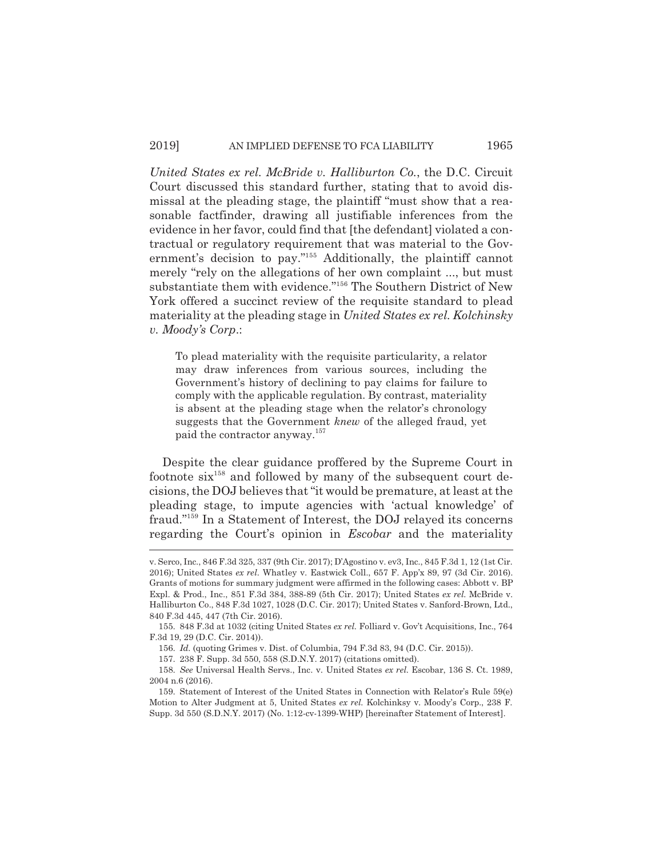*United States ex rel. McBride v. Halliburton Co.*, the D.C. Circuit Court discussed this standard further, stating that to avoid dismissal at the pleading stage, the plaintiff "must show that a reasonable factfinder, drawing all justifiable inferences from the evidence in her favor, could find that [the defendant] violated a contractual or regulatory requirement that was material to the Government's decision to pay."155 Additionally, the plaintiff cannot merely "rely on the allegations of her own complaint ..., but must substantiate them with evidence."156 The Southern District of New York offered a succinct review of the requisite standard to plead materiality at the pleading stage in *United States ex rel. Kolchinsky v. Moody's Corp*.:

To plead materiality with the requisite particularity, a relator may draw inferences from various sources, including the Government's history of declining to pay claims for failure to comply with the applicable regulation. By contrast, materiality is absent at the pleading stage when the relator's chronology suggests that the Government *knew* of the alleged fraud, yet paid the contractor anyway.<sup>157</sup>

Despite the clear guidance proffered by the Supreme Court in footnote  $\sin^{158}$  and followed by many of the subsequent court decisions, the DOJ believes that "it would be premature, at least at the pleading stage, to impute agencies with 'actual knowledge' of fraud."159 In a Statement of Interest, the DOJ relayed its concerns regarding the Court's opinion in *Escobar* and the materiality

v. Serco, Inc., 846 F.3d 325, 337 (9th Cir. 2017); D'Agostino v. ev3, Inc., 845 F.3d 1, 12 (1st Cir. 2016); United States *ex rel.* Whatley v. Eastwick Coll., 657 F. App'x 89, 97 (3d Cir. 2016). Grants of motions for summary judgment were affirmed in the following cases: Abbott v. BP Expl. & Prod., Inc., 851 F.3d 384, 388-89 (5th Cir. 2017); United States *ex rel.* McBride v. Halliburton Co., 848 F.3d 1027, 1028 (D.C. Cir. 2017); United States v. Sanford-Brown, Ltd., 840 F.3d 445, 447 (7th Cir. 2016).

<sup>155. 848</sup> F.3d at 1032 (citing United States *ex rel.* Folliard v. Gov't Acquisitions, Inc., 764 F.3d 19, 29 (D.C. Cir. 2014)).

<sup>156.</sup> *Id.* (quoting Grimes v. Dist. of Columbia, 794 F.3d 83, 94 (D.C. Cir. 2015)).

<sup>157. 238</sup> F. Supp. 3d 550, 558 (S.D.N.Y. 2017) (citations omitted).

<sup>158.</sup> *See* Universal Health Servs., Inc. v. United States *ex rel.* Escobar, 136 S. Ct. 1989, 2004 n.6 (2016).

<sup>159.</sup> Statement of Interest of the United States in Connection with Relator's Rule 59(e) Motion to Alter Judgment at 5, United States *ex rel.* Kolchinksy v. Moody's Corp., 238 F. Supp. 3d 550 (S.D.N.Y. 2017) (No. 1:12-cv-1399-WHP) [hereinafter Statement of Interest].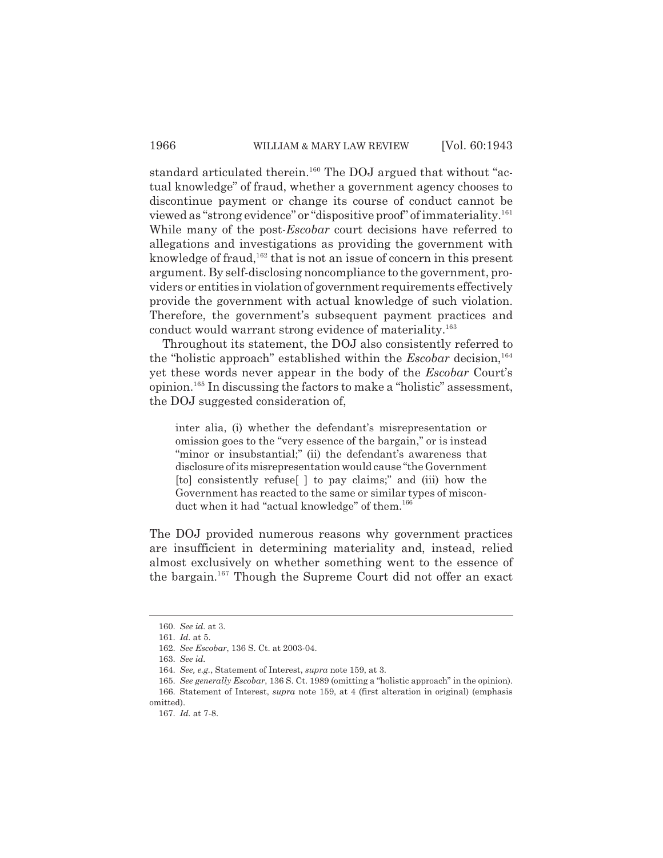standard articulated therein.<sup>160</sup> The DOJ argued that without "actual knowledge" of fraud, whether a government agency chooses to discontinue payment or change its course of conduct cannot be viewed as "strong evidence" or "dispositive proof" of immateriality.161 While many of the post-*Escobar* court decisions have referred to allegations and investigations as providing the government with knowledge of fraud,  $162$  that is not an issue of concern in this present argument. By self-disclosing noncompliance to the government, providers or entities in violation of government requirements effectively provide the government with actual knowledge of such violation. Therefore, the government's subsequent payment practices and conduct would warrant strong evidence of materiality.<sup>163</sup>

Throughout its statement, the DOJ also consistently referred to the "holistic approach" established within the *Escobar* decision,<sup>164</sup> yet these words never appear in the body of the *Escobar* Court's opinion.165 In discussing the factors to make a "holistic" assessment, the DOJ suggested consideration of,

inter alia, (i) whether the defendant's misrepresentation or omission goes to the "very essence of the bargain," or is instead "minor or insubstantial;" (ii) the defendant's awareness that disclosure of its misrepresentation would cause "the Government [to] consistently refuse[ ] to pay claims;" and (iii) how the Government has reacted to the same or similar types of misconduct when it had "actual knowledge" of them.<sup>166</sup>

The DOJ provided numerous reasons why government practices are insufficient in determining materiality and, instead, relied almost exclusively on whether something went to the essence of the bargain.167 Though the Supreme Court did not offer an exact

<sup>160.</sup> *See id.* at 3.

<sup>161.</sup> *Id.* at 5.

<sup>162.</sup> *See Escobar*, 136 S. Ct. at 2003-04.

<sup>163.</sup> *See id.*

<sup>164.</sup> *See, e.g.*, Statement of Interest, *supra* note 159, at 3.

<sup>165.</sup> *See generally Escobar*, 136 S. Ct. 1989 (omitting a "holistic approach" in the opinion). 166. Statement of Interest, *supra* note 159, at 4 (first alteration in original) (emphasis

omitted).

<sup>167.</sup> *Id.* at 7-8.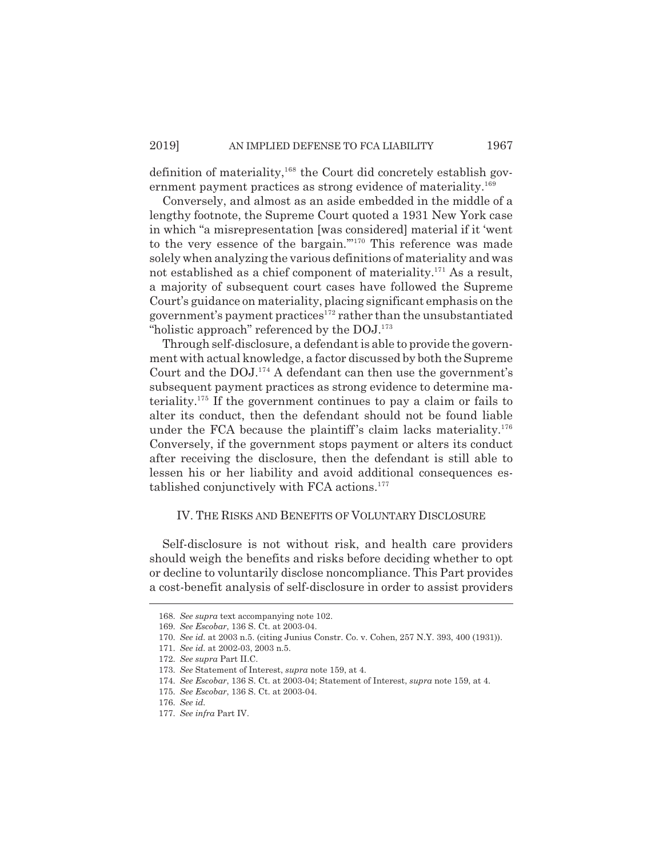definition of materiality, $168$  the Court did concretely establish government payment practices as strong evidence of materiality.<sup>169</sup>

Conversely, and almost as an aside embedded in the middle of a lengthy footnote, the Supreme Court quoted a 1931 New York case in which "a misrepresentation [was considered] material if it 'went to the very essence of the bargain."<sup>170</sup> This reference was made solely when analyzing the various definitions of materiality and was not established as a chief component of materiality.<sup>171</sup> As a result, a majority of subsequent court cases have followed the Supreme Court's guidance on materiality, placing significant emphasis on the government's payment practices<sup>172</sup> rather than the unsubstantiated "holistic approach" referenced by the DOJ.<sup>173</sup>

Through self-disclosure, a defendant is able to provide the government with actual knowledge, a factor discussed by both the Supreme Court and the  $DOL^{174}$  A defendant can then use the government's subsequent payment practices as strong evidence to determine materiality.175 If the government continues to pay a claim or fails to alter its conduct, then the defendant should not be found liable under the FCA because the plaintiff's claim lacks materiality.<sup>176</sup> Conversely, if the government stops payment or alters its conduct after receiving the disclosure, then the defendant is still able to lessen his or her liability and avoid additional consequences established conjunctively with FCA actions.177

#### IV. THE RISKS AND BENEFITS OF VOLUNTARY DISCLOSURE

Self-disclosure is not without risk, and health care providers should weigh the benefits and risks before deciding whether to opt or decline to voluntarily disclose noncompliance. This Part provides a cost-benefit analysis of self-disclosure in order to assist providers

<sup>168.</sup> *See supra* text accompanying note 102.

<sup>169.</sup> *See Escobar*, 136 S. Ct. at 2003-04.

<sup>170.</sup> *See id.* at 2003 n.5. (citing Junius Constr. Co. v. Cohen, 257 N.Y. 393, 400 (1931)).

<sup>171.</sup> *See id.* at 2002-03, 2003 n.5.

<sup>172.</sup> *See supra* Part II.C.

<sup>173.</sup> *See* Statement of Interest, *supra* note 159, at 4.

<sup>174.</sup> *See Escobar*, 136 S. Ct. at 2003-04; Statement of Interest, *supra* note 159, at 4.

<sup>175.</sup> *See Escobar*, 136 S. Ct. at 2003-04.

<sup>176.</sup> *See id.* 

<sup>177.</sup> *See infra* Part IV.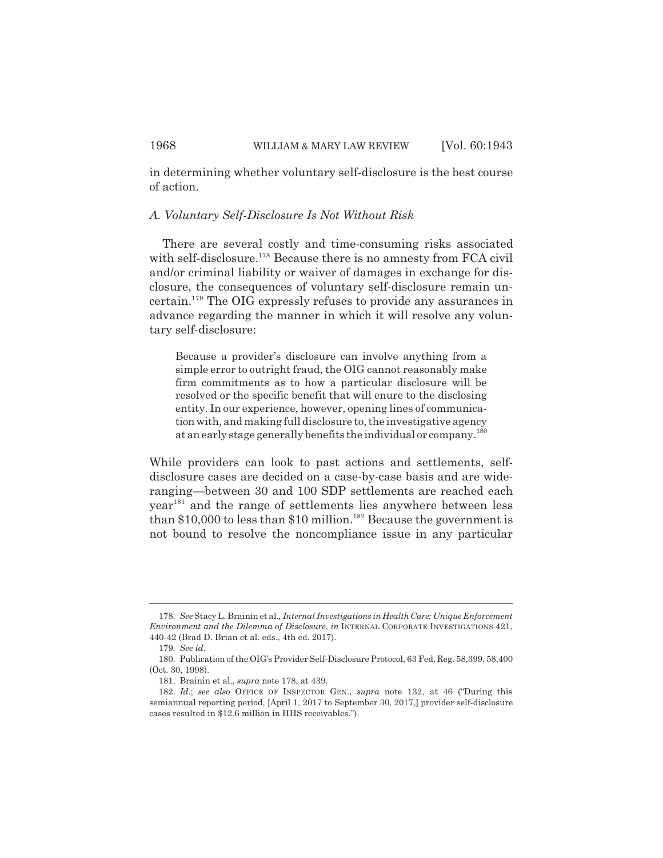in determining whether voluntary self-disclosure is the best course of action.

#### *A. Voluntary Self-Disclosure Is Not Without Risk*

There are several costly and time-consuming risks associated with self-disclosure.<sup>178</sup> Because there is no amnesty from FCA civil and/or criminal liability or waiver of damages in exchange for disclosure, the consequences of voluntary self-disclosure remain uncertain.179 The OIG expressly refuses to provide any assurances in advance regarding the manner in which it will resolve any voluntary self-disclosure:

Because a provider's disclosure can involve anything from a simple error to outright fraud, the OIG cannot reasonably make firm commitments as to how a particular disclosure will be resolved or the specific benefit that will enure to the disclosing entity. In our experience, however, opening lines of communication with, and making full disclosure to, the investigative agency at an early stage generally benefits the individual or company.180

While providers can look to past actions and settlements, selfdisclosure cases are decided on a case-by-case basis and are wideranging—between 30 and 100 SDP settlements are reached each year<sup>181</sup> and the range of settlements lies anywhere between less than \$10,000 to less than \$10 million.<sup>182</sup> Because the government is not bound to resolve the noncompliance issue in any particular

<sup>178.</sup> *See* Stacy L. Brainin et al.*, Internal Investigations in Health Care: Unique Enforcement Environment and the Dilemma of Disclosure*, *in* INTERNAL CORPORATE INVESTIGATIONS 421, 440-42 (Brad D. Brian et al. eds., 4th ed. 2017).

<sup>179.</sup> *See id*.

<sup>180.</sup> Publication of the OIG's Provider Self-Disclosure Protocol, 63 Fed. Reg. 58,399, 58,400 (Oct. 30, 1998).

<sup>181.</sup> Brainin et al., *supra* note 178, at 439.

<sup>182.</sup> *Id.*; *see also* OFFICE OF INSPECTOR GEN., *supra* note 132, at 46 ("During this semiannual reporting period, [April 1, 2017 to September 30, 2017,] provider self-disclosure cases resulted in \$12.6 million in HHS receivables.").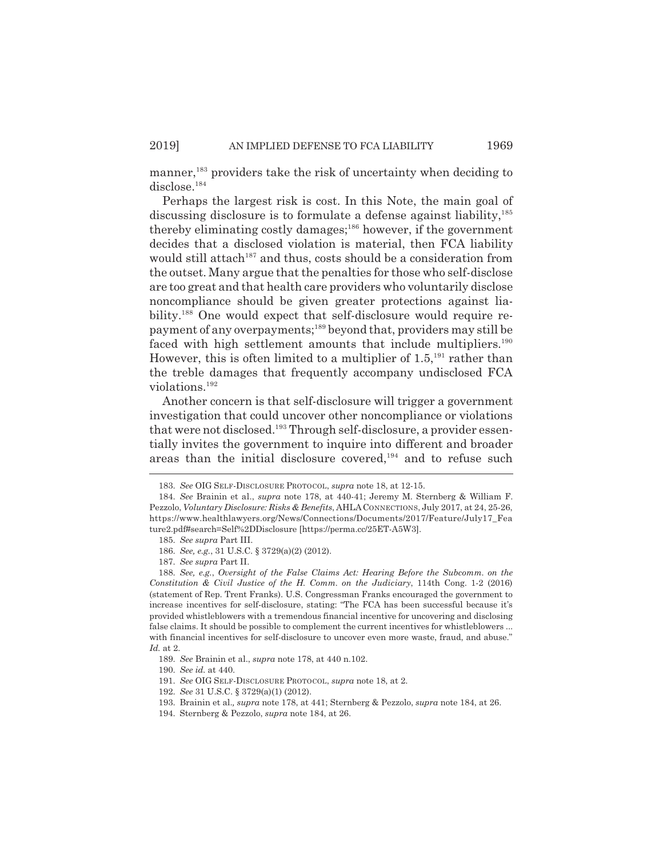manner,<sup>183</sup> providers take the risk of uncertainty when deciding to disclose.<sup>184</sup>

Perhaps the largest risk is cost. In this Note, the main goal of discussing disclosure is to formulate a defense against liability,<sup>185</sup> thereby eliminating costly damages; $186$  however, if the government decides that a disclosed violation is material, then FCA liability would still attach<sup>187</sup> and thus, costs should be a consideration from the outset. Many argue that the penalties for those who self-disclose are too great and that health care providers who voluntarily disclose noncompliance should be given greater protections against liability.<sup>188</sup> One would expect that self-disclosure would require repayment of any overpayments;189 beyond that, providers may still be faced with high settlement amounts that include multipliers.<sup>190</sup> However, this is often limited to a multiplier of  $1.5$ <sup>191</sup> rather than the treble damages that frequently accompany undisclosed FCA violations.192

Another concern is that self-disclosure will trigger a government investigation that could uncover other noncompliance or violations that were not disclosed.193 Through self-disclosure, a provider essentially invites the government to inquire into different and broader areas than the initial disclosure covered, $194$  and to refuse such

<sup>183.</sup> *See* OIG SELF-DISCLOSURE PROTOCOL, *supra* note 18, at 12-15.

<sup>184.</sup> *See* Brainin et al., *supra* note 178, at 440-41; Jeremy M. Sternberg & William F. Pezzolo, *Voluntary Disclosure: Risks & Benefits*, AHLACONNECTIONS, July 2017, at 24, 25-26, https://www.healthlawyers.org/News/Connections/Documents/2017/Feature/July17\_Fea ture2.pdf#search=Self%2DDisclosure [https://perma.cc/25ET-A5W3].

<sup>185.</sup> *See supra* Part III.

<sup>186.</sup> *See, e.g.*, 31 U.S.C. § 3729(a)(2) (2012).

<sup>187.</sup> *See supra* Part II.

<sup>188.</sup> *See, e.g.*, *Oversight of the False Claims Act: Hearing Before the Subcomm. on the Constitution & Civil Justice of the H. Comm. on the Judiciary*, 114th Cong. 1-2 (2016) (statement of Rep. Trent Franks). U.S. Congressman Franks encouraged the government to increase incentives for self-disclosure, stating: "The FCA has been successful because it's provided whistleblowers with a tremendous financial incentive for uncovering and disclosing false claims. It should be possible to complement the current incentives for whistleblowers ... with financial incentives for self-disclosure to uncover even more waste, fraud, and abuse." *Id.* at 2.

<sup>189.</sup> *See* Brainin et al., *supra* note 178, at 440 n.102.

<sup>190.</sup> *See id.* at 440.

<sup>191.</sup> *See* OIG SELF-DISCLOSURE PROTOCOL, *supra* note 18, at 2.

<sup>192.</sup> *See* 31 U.S.C. § 3729(a)(1) (2012).

<sup>193.</sup> Brainin et al.*, supra* note 178, at 441; Sternberg & Pezzolo, *supra* note 184, at 26.

<sup>194.</sup> Sternberg & Pezzolo, *supra* note 184, at 26.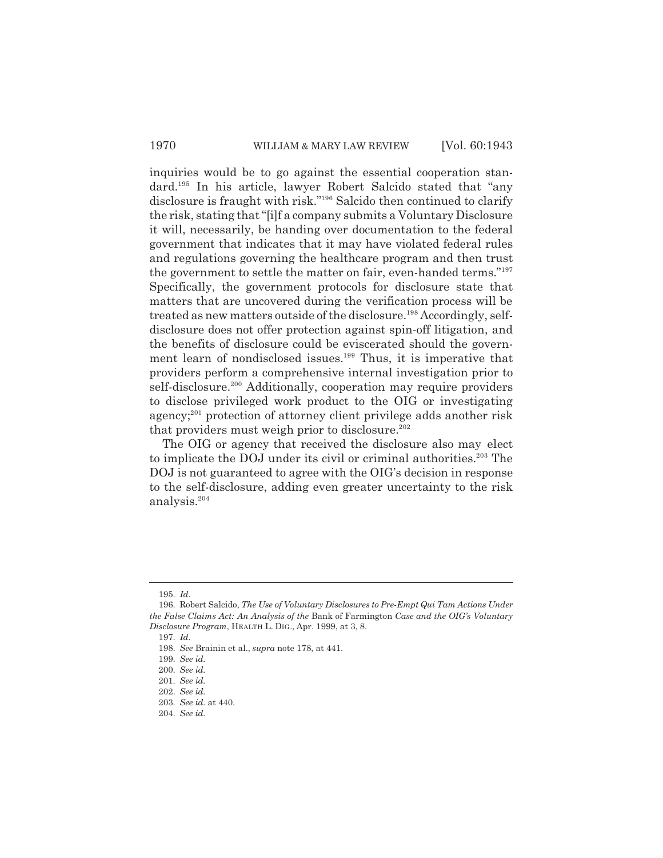inquiries would be to go against the essential cooperation standard.195 In his article, lawyer Robert Salcido stated that "any disclosure is fraught with risk."196 Salcido then continued to clarify the risk, stating that "[i]f a company submits a Voluntary Disclosure it will, necessarily, be handing over documentation to the federal government that indicates that it may have violated federal rules and regulations governing the healthcare program and then trust the government to settle the matter on fair, even-handed terms."197 Specifically, the government protocols for disclosure state that matters that are uncovered during the verification process will be treated as new matters outside of the disclosure.<sup>198</sup> Accordingly, selfdisclosure does not offer protection against spin-off litigation, and the benefits of disclosure could be eviscerated should the government learn of nondisclosed issues.<sup>199</sup> Thus, it is imperative that providers perform a comprehensive internal investigation prior to self-disclosure.<sup>200</sup> Additionally, cooperation may require providers to disclose privileged work product to the OIG or investigating agency;<sup>201</sup> protection of attorney client privilege adds another risk that providers must weigh prior to disclosure.<sup>202</sup>

The OIG or agency that received the disclosure also may elect to implicate the DOJ under its civil or criminal authorities.<sup>203</sup> The DOJ is not guaranteed to agree with the OIG's decision in response to the self-disclosure, adding even greater uncertainty to the risk analysis.204

<sup>195.</sup> *Id.*

<sup>196.</sup> Robert Salcido, *The Use of Voluntary Disclosures to Pre-Empt Qui Tam Actions Under the False Claims Act: An Analysis of the* Bank of Farmington *Case and the OIG's Voluntary Disclosure Program*, HEALTH L. DIG., Apr. 1999, at 3, 8.

<sup>197.</sup> *Id.*

<sup>198.</sup> *See* Brainin et al., *supra* note 178, at 441.

<sup>199.</sup> *See id.*

<sup>200.</sup> *See id.*

<sup>201.</sup> *See id.*

<sup>202.</sup> *See id.*

<sup>203.</sup> *See id.* at 440.

<sup>204.</sup> *See id.*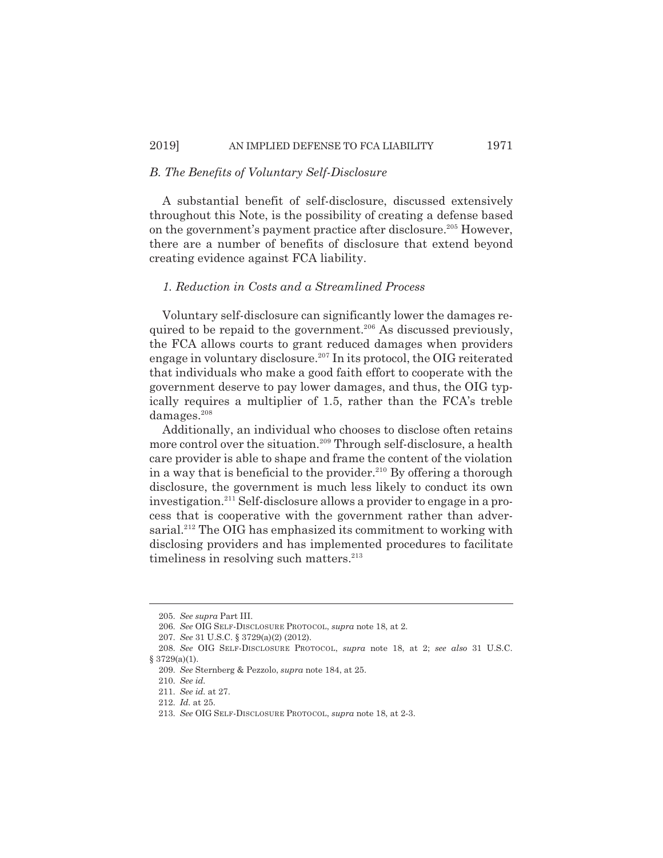#### *B. The Benefits of Voluntary Self-Disclosure*

A substantial benefit of self-disclosure, discussed extensively throughout this Note, is the possibility of creating a defense based on the government's payment practice after disclosure.<sup>205</sup> However, there are a number of benefits of disclosure that extend beyond creating evidence against FCA liability.

#### *1. Reduction in Costs and a Streamlined Process*

Voluntary self-disclosure can significantly lower the damages required to be repaid to the government.<sup>206</sup> As discussed previously, the FCA allows courts to grant reduced damages when providers engage in voluntary disclosure.<sup>207</sup> In its protocol, the OIG reiterated that individuals who make a good faith effort to cooperate with the government deserve to pay lower damages, and thus, the OIG typically requires a multiplier of 1.5, rather than the FCA's treble damages.<sup>208</sup>

Additionally, an individual who chooses to disclose often retains more control over the situation.<sup>209</sup> Through self-disclosure, a health care provider is able to shape and frame the content of the violation in a way that is beneficial to the provider.<sup>210</sup> By offering a thorough disclosure, the government is much less likely to conduct its own investigation.211 Self-disclosure allows a provider to engage in a process that is cooperative with the government rather than adversarial.<sup>212</sup> The OIG has emphasized its commitment to working with disclosing providers and has implemented procedures to facilitate timeliness in resolving such matters. $213$ 

<sup>205.</sup> *See supra* Part III.

<sup>206.</sup> *See* OIG SELF-DISCLOSURE PROTOCOL, *supra* note 18, at 2.

<sup>207.</sup> *See* 31 U.S.C. § 3729(a)(2) (2012).

<sup>208.</sup> *See* OIG SELF-DISCLOSURE PROTOCOL, *supra* note 18, at 2; *see also* 31 U.S.C.  $§ 3729(a)(1).$ 

<sup>209.</sup> *See* Sternberg & Pezzolo, *supra* note 184, at 25.

<sup>210.</sup> *See id.*

<sup>211.</sup> *See id.* at 27.

<sup>212.</sup> *Id.* at 25.

<sup>213.</sup> *See* OIG SELF-DISCLOSURE PROTOCOL, *supra* note 18, at 2-3.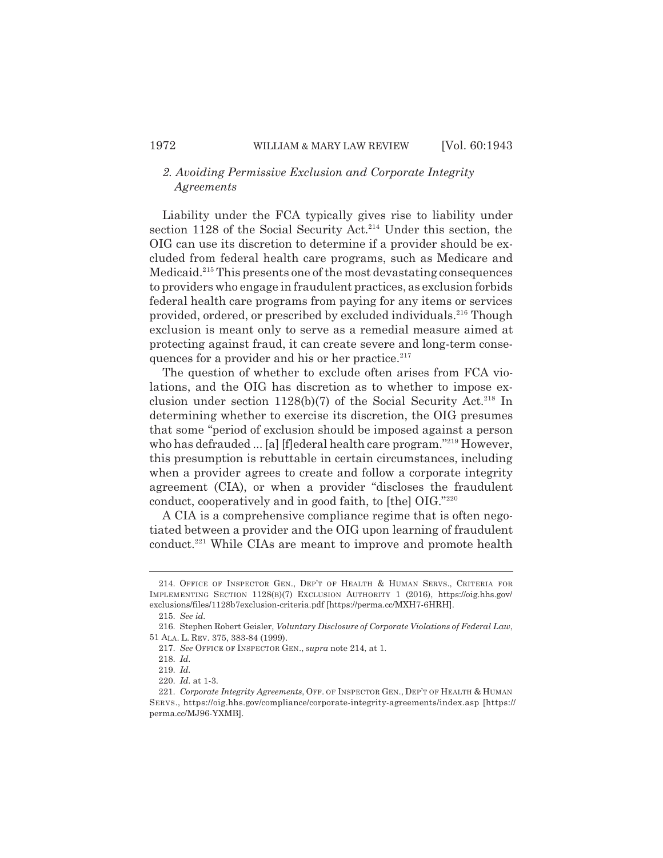# *2. Avoiding Permissive Exclusion and Corporate Integrity Agreements*

Liability under the FCA typically gives rise to liability under section 1128 of the Social Security Act.<sup>214</sup> Under this section, the OIG can use its discretion to determine if a provider should be excluded from federal health care programs, such as Medicare and Medicaid.215 This presents one of the most devastating consequences to providers who engage in fraudulent practices, as exclusion forbids federal health care programs from paying for any items or services provided, ordered, or prescribed by excluded individuals.216 Though exclusion is meant only to serve as a remedial measure aimed at protecting against fraud, it can create severe and long-term consequences for a provider and his or her practice. $217$ 

The question of whether to exclude often arises from FCA violations, and the OIG has discretion as to whether to impose exclusion under section  $1128(b)(7)$  of the Social Security Act.<sup>218</sup> In determining whether to exercise its discretion, the OIG presumes that some "period of exclusion should be imposed against a person who has defrauded ... [a] [f]ederal health care program."<sup>219</sup> However, this presumption is rebuttable in certain circumstances, including when a provider agrees to create and follow a corporate integrity agreement (CIA), or when a provider "discloses the fraudulent conduct, cooperatively and in good faith, to [the] OIG."220

A CIA is a comprehensive compliance regime that is often negotiated between a provider and the OIG upon learning of fraudulent conduct.<sup>221</sup> While CIAs are meant to improve and promote health

<sup>214.</sup> OFFICE OF INSPECTOR GEN., DEP'T OF HEALTH & HUMAN SERVS., CRITERIA FOR IMPLEMENTING SECTION 1128(B)(7) EXCLUSION AUTHORITY 1 (2016), https://oig.hhs.gov/ exclusions/files/1128b7exclusion-criteria.pdf [https://perma.cc/MXH7-6HRH].

<sup>215.</sup> *See id.*

<sup>216.</sup> Stephen Robert Geisler, *Voluntary Disclosure of Corporate Violations of Federal Law*, 51 ALA. L. REV. 375, 383-84 (1999).

<sup>217.</sup> *See* OFFICE OF INSPECTOR GEN., *supra* note 214, at 1.

<sup>218.</sup> *Id.*

<sup>219.</sup> *Id.*

<sup>220.</sup> *Id.* at 1-3.

<sup>221.</sup> *Corporate Integrity Agreements*, OFF. OF INSPECTOR GEN., DEP'T OF HEALTH & HUMAN SERVS., https://oig.hhs.gov/compliance/corporate-integrity-agreements/index.asp [https:// perma.cc/MJ96-YXMB].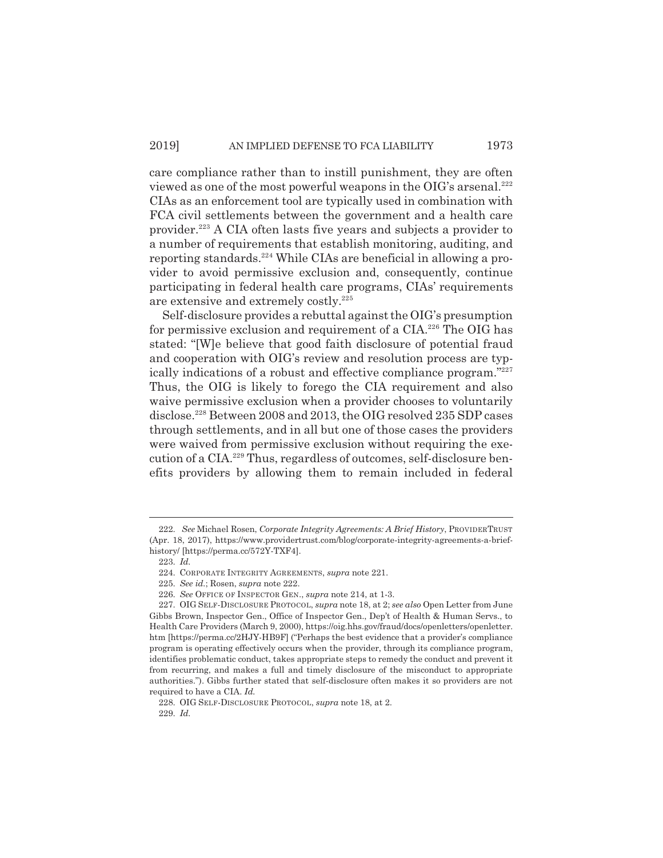care compliance rather than to instill punishment, they are often viewed as one of the most powerful weapons in the OIG's arsenal.<sup>222</sup> CIAs as an enforcement tool are typically used in combination with FCA civil settlements between the government and a health care provider.223 A CIA often lasts five years and subjects a provider to a number of requirements that establish monitoring, auditing, and reporting standards.<sup>224</sup> While CIAs are beneficial in allowing a provider to avoid permissive exclusion and, consequently, continue participating in federal health care programs, CIAs' requirements are extensive and extremely costly.<sup>225</sup>

Self-disclosure provides a rebuttal against the OIG's presumption for permissive exclusion and requirement of a CIA.<sup>226</sup> The OIG has stated: "[W]e believe that good faith disclosure of potential fraud and cooperation with OIG's review and resolution process are typically indications of a robust and effective compliance program."227 Thus, the OIG is likely to forego the CIA requirement and also waive permissive exclusion when a provider chooses to voluntarily disclose.228 Between 2008 and 2013, the OIG resolved 235 SDP cases through settlements, and in all but one of those cases the providers were waived from permissive exclusion without requiring the execution of a CIA.<sup>229</sup> Thus, regardless of outcomes, self-disclosure benefits providers by allowing them to remain included in federal

<sup>222.</sup> *See* Michael Rosen, *Corporate Integrity Agreements: A Brief History*, PROVIDERTRUST (Apr. 18, 2017), https://www.providertrust.com/blog/corporate-integrity-agreements-a-briefhistory/ [https://perma.cc/572Y-TXF4].

<sup>223.</sup> *Id.*

<sup>224.</sup> CORPORATE INTEGRITY AGREEMENTS, *supra* note 221.

<sup>225.</sup> *See id.*; Rosen, *supra* note 222.

<sup>226.</sup> *See* OFFICE OF INSPECTOR GEN., *supra* note 214, at 1-3.

<sup>227.</sup> OIG SELF-DISCLOSURE PROTOCOL, *supra* note 18, at 2; *see also* Open Letter from June Gibbs Brown, Inspector Gen., Office of Inspector Gen., Dep't of Health & Human Servs., to Health Care Providers (March 9, 2000), https://oig.hhs.gov/fraud/docs/openletters/openletter. htm [https://perma.cc/2HJY-HB9F] ("Perhaps the best evidence that a provider's compliance program is operating effectively occurs when the provider, through its compliance program, identifies problematic conduct, takes appropriate steps to remedy the conduct and prevent it from recurring, and makes a full and timely disclosure of the misconduct to appropriate authorities."). Gibbs further stated that self-disclosure often makes it so providers are not required to have a CIA. *Id.*

<sup>228.</sup> OIG SELF-DISCLOSURE PROTOCOL, *supra* note 18, at 2. 229. *Id.*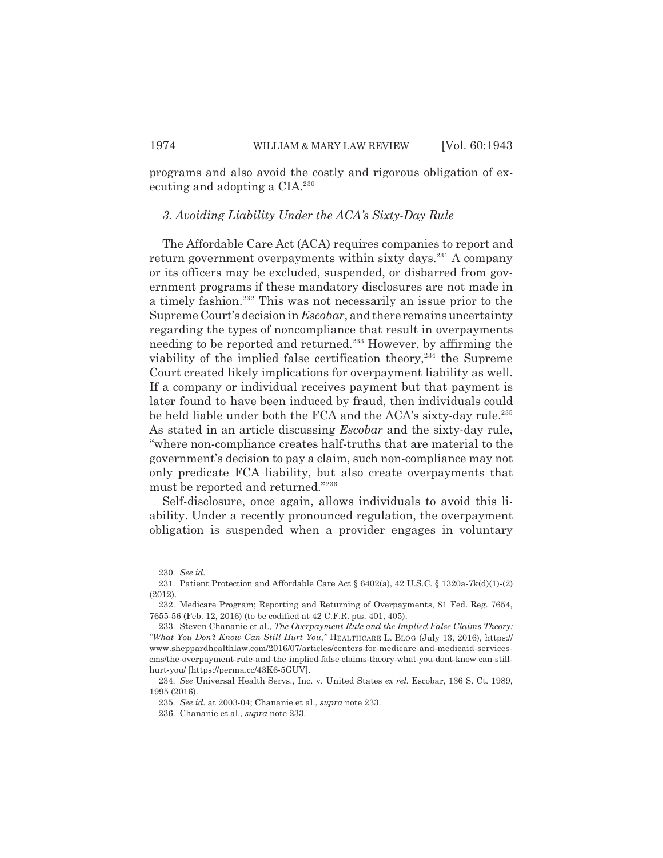programs and also avoid the costly and rigorous obligation of executing and adopting a CIA.<sup>230</sup>

#### *3. Avoiding Liability Under the ACA's Sixty-Day Rule*

The Affordable Care Act (ACA) requires companies to report and return government overpayments within sixty days.<sup>231</sup> A company or its officers may be excluded, suspended, or disbarred from government programs if these mandatory disclosures are not made in a timely fashion.<sup>232</sup> This was not necessarily an issue prior to the Supreme Court's decision in *Escobar*, and there remains uncertainty regarding the types of noncompliance that result in overpayments needing to be reported and returned.233 However, by affirming the viability of the implied false certification theory, $234$  the Supreme Court created likely implications for overpayment liability as well. If a company or individual receives payment but that payment is later found to have been induced by fraud, then individuals could be held liable under both the FCA and the ACA's sixty-day rule.<sup>235</sup> As stated in an article discussing *Escobar* and the sixty-day rule, "where non-compliance creates half-truths that are material to the government's decision to pay a claim, such non-compliance may not only predicate FCA liability, but also create overpayments that must be reported and returned."236

Self-disclosure, once again, allows individuals to avoid this liability. Under a recently pronounced regulation, the overpayment obligation is suspended when a provider engages in voluntary

<sup>230.</sup> *See id.*

<sup>231.</sup> Patient Protection and Affordable Care Act § 6402(a), 42 U.S.C. § 1320a-7k(d)(1)-(2) (2012).

<sup>232.</sup> Medicare Program; Reporting and Returning of Overpayments, 81 Fed. Reg. 7654, 7655-56 (Feb. 12, 2016) (to be codified at 42 C.F.R. pts. 401, 405).

<sup>233.</sup> Steven Chananie et al., *The Overpayment Rule and the Implied False Claims Theory: "What You Don't Know Can Still Hurt You*,*"* HEALTHCARE L. BLOG (July 13, 2016), https:// www.sheppardhealthlaw.com/2016/07/articles/centers-for-medicare-and-medicaid-servicescms/the-overpayment-rule-and-the-implied-false-claims-theory-what-you-dont-know-can-stillhurt-you/ [https://perma.cc/43K6-5GUV].

<sup>234.</sup> *See* Universal Health Servs., Inc. v. United States *ex rel.* Escobar, 136 S. Ct. 1989, 1995 (2016).

<sup>235.</sup> *See id.* at 2003-04; Chananie et al., *supra* note 233.

<sup>236.</sup> Chananie et al., *supra* note 233.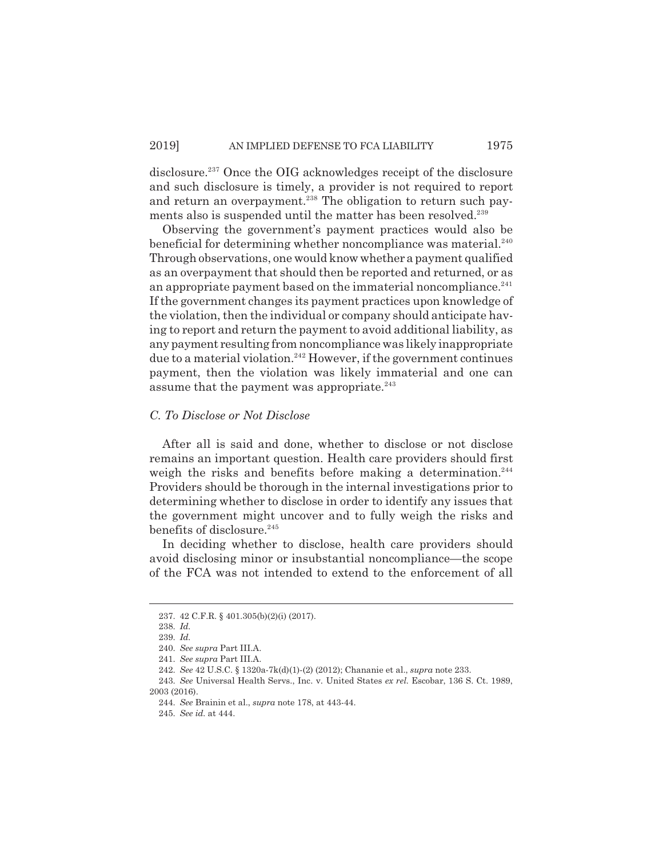disclosure.<sup>237</sup> Once the OIG acknowledges receipt of the disclosure and such disclosure is timely, a provider is not required to report and return an overpayment.<sup>238</sup> The obligation to return such payments also is suspended until the matter has been resolved.<sup>239</sup>

Observing the government's payment practices would also be beneficial for determining whether noncompliance was material.<sup>240</sup> Through observations, one would know whether a payment qualified as an overpayment that should then be reported and returned, or as an appropriate payment based on the immaterial noncompliance. $241$ If the government changes its payment practices upon knowledge of the violation, then the individual or company should anticipate having to report and return the payment to avoid additional liability, as any payment resulting from noncompliance was likely inappropriate due to a material violation.<sup>242</sup> However, if the government continues payment, then the violation was likely immaterial and one can assume that the payment was appropriate. $243$ 

#### *C. To Disclose or Not Disclose*

After all is said and done, whether to disclose or not disclose remains an important question. Health care providers should first weigh the risks and benefits before making a determination.<sup>244</sup> Providers should be thorough in the internal investigations prior to determining whether to disclose in order to identify any issues that the government might uncover and to fully weigh the risks and benefits of disclosure.<sup>245</sup>

In deciding whether to disclose, health care providers should avoid disclosing minor or insubstantial noncompliance—the scope of the FCA was not intended to extend to the enforcement of all

<sup>237. 42</sup> C.F.R. § 401.305(b)(2)(i) (2017).

<sup>238.</sup> *Id.*

<sup>239.</sup> *Id.*

<sup>240.</sup> *See supra* Part III.A.

<sup>241.</sup> *See supra* Part III.A.

<sup>242.</sup> *See* 42 U.S.C. § 1320a-7k(d)(1)-(2) (2012); Chananie et al., *supra* note 233.

<sup>243.</sup> *See* Universal Health Servs., Inc. v. United States *ex rel.* Escobar, 136 S. Ct. 1989, 2003 (2016).

<sup>244.</sup> *See* Brainin et al., *supra* note 178, at 443-44.

<sup>245.</sup> *See id.* at 444.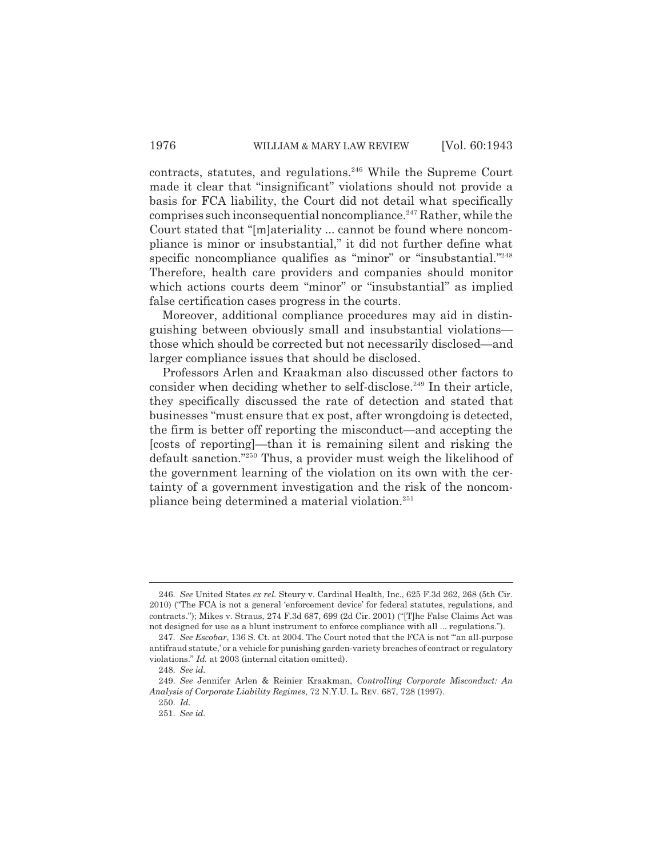contracts, statutes, and regulations.<sup>246</sup> While the Supreme Court made it clear that "insignificant" violations should not provide a basis for FCA liability, the Court did not detail what specifically comprises such inconsequential noncompliance.<sup>247</sup> Rather, while the Court stated that "[m]ateriality ... cannot be found where noncompliance is minor or insubstantial," it did not further define what specific noncompliance qualifies as "minor" or "insubstantial."<sup>248</sup> Therefore, health care providers and companies should monitor which actions courts deem "minor" or "insubstantial" as implied false certification cases progress in the courts.

Moreover, additional compliance procedures may aid in distinguishing between obviously small and insubstantial violations those which should be corrected but not necessarily disclosed—and larger compliance issues that should be disclosed.

Professors Arlen and Kraakman also discussed other factors to consider when deciding whether to self-disclose.<sup>249</sup> In their article, they specifically discussed the rate of detection and stated that businesses "must ensure that ex post, after wrongdoing is detected, the firm is better off reporting the misconduct—and accepting the [costs of reporting]—than it is remaining silent and risking the default sanction."250 Thus, a provider must weigh the likelihood of the government learning of the violation on its own with the certainty of a government investigation and the risk of the noncompliance being determined a material violation.251

<sup>246.</sup> *See* United States *ex rel.* Steury v. Cardinal Health, Inc., 625 F.3d 262, 268 (5th Cir. 2010) ("The FCA is not a general 'enforcement device' for federal statutes, regulations, and contracts."); Mikes v. Straus, 274 F.3d 687, 699 (2d Cir. 2001) ("[T]he False Claims Act was not designed for use as a blunt instrument to enforce compliance with all ... regulations.").

<sup>247.</sup> *See Escobar*, 136 S. Ct. at 2004. The Court noted that the FCA is not "'an all-purpose antifraud statute,' or a vehicle for punishing garden-variety breaches of contract or regulatory violations." *Id.* at 2003 (internal citation omitted).

<sup>248.</sup> *See id.*

<sup>249.</sup> *See* Jennifer Arlen & Reinier Kraakman, *Controlling Corporate Misconduct: An Analysis of Corporate Liability Regimes*, 72 N.Y.U. L. REV. 687, 728 (1997).

<sup>250.</sup> *Id.*

<sup>251.</sup> *See id.*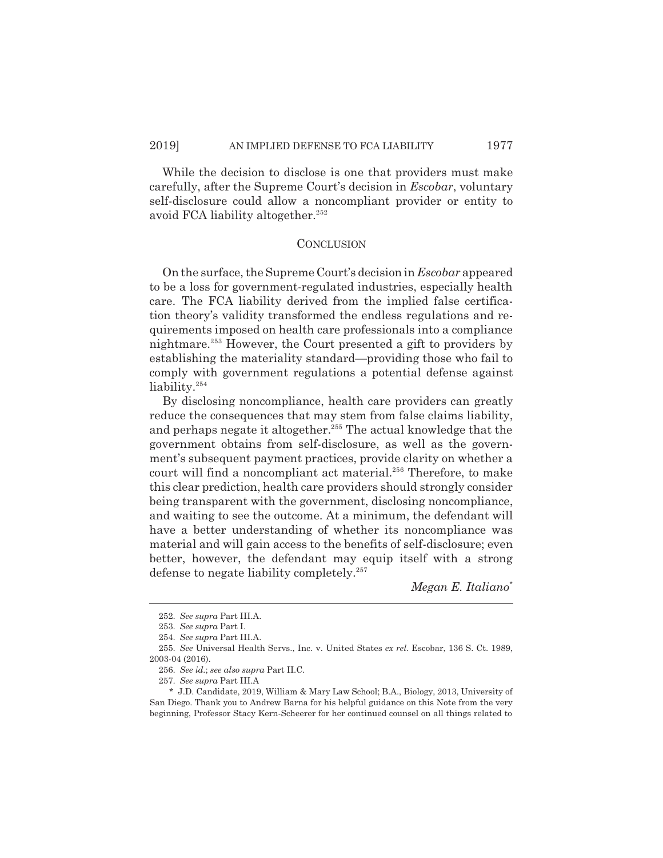While the decision to disclose is one that providers must make carefully, after the Supreme Court's decision in *Escobar*, voluntary self-disclosure could allow a noncompliant provider or entity to avoid FCA liability altogether.<sup>252</sup>

#### **CONCLUSION**

On the surface, the Supreme Court's decision in *Escobar* appeared to be a loss for government-regulated industries, especially health care. The FCA liability derived from the implied false certification theory's validity transformed the endless regulations and requirements imposed on health care professionals into a compliance nightmare.253 However, the Court presented a gift to providers by establishing the materiality standard—providing those who fail to comply with government regulations a potential defense against liability.<sup>254</sup>

By disclosing noncompliance, health care providers can greatly reduce the consequences that may stem from false claims liability, and perhaps negate it altogether.<sup>255</sup> The actual knowledge that the government obtains from self-disclosure, as well as the government's subsequent payment practices, provide clarity on whether a court will find a noncompliant act material.<sup>256</sup> Therefore, to make this clear prediction, health care providers should strongly consider being transparent with the government, disclosing noncompliance, and waiting to see the outcome. At a minimum, the defendant will have a better understanding of whether its noncompliance was material and will gain access to the benefits of self-disclosure; even better, however, the defendant may equip itself with a strong defense to negate liability completely.<sup>257</sup>

*Megan E. Italiano*\*

<sup>252.</sup> *See supra* Part III.A.

<sup>253.</sup> *See supra* Part I.

<sup>254.</sup> *See supra* Part III.A.

<sup>255.</sup> *See* Universal Health Servs., Inc. v. United States *ex rel.* Escobar, 136 S. Ct. 1989, 2003-04 (2016).

<sup>256.</sup> *See id.*; *see also supra* Part II.C.

<sup>257.</sup> *See supra* Part III.A

<sup>\*</sup> J.D. Candidate, 2019, William & Mary Law School; B.A., Biology, 2013, University of San Diego. Thank you to Andrew Barna for his helpful guidance on this Note from the very beginning, Professor Stacy Kern-Scheerer for her continued counsel on all things related to